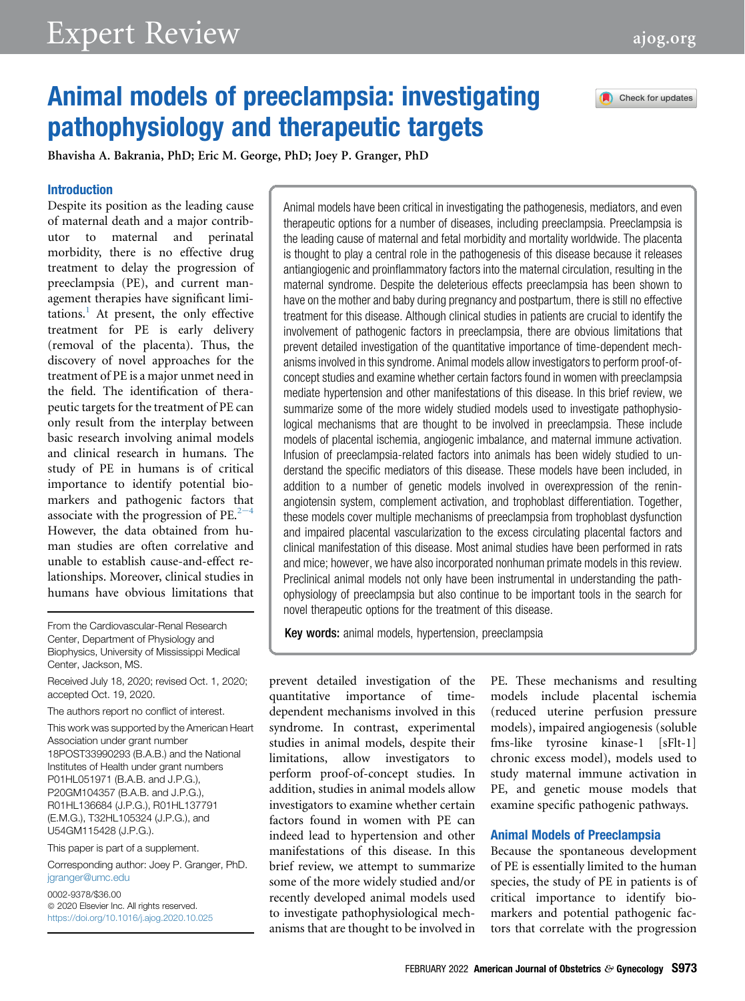Check for updates

# Animal models of preeclampsia: investigating pathophysiology and therapeutic targets

 $B_{\text{max}}$  are defined by  $B_{\text{max}}$ ,  $B_{\text{max}}$  and  $B_{\text{max}}$  are  $B_{\text{max}}$ ,  $B_{\text{max}}$ ,  $B_{\text{max}}$ ,  $B_{\text{max}}$ 

#### Introduction

Despite its position as the leading cause of maternal death and a major contributor to maternal and perinatal morbidity, there is no effective drug treatment to delay the progression of preeclampsia (PE), and current management therapies have significant limi-tations.<sup>[1](#page-11-0)</sup> At present, the only effective treatment for PE is early delivery (removal of the placenta). Thus, the discovery of novel approaches for the treatment of PE is a major unmet need in the field. The identification of therapeutic targets for the treatment of PE can only result from the interplay between basic research involving animal models and clinical research in humans. The study of PE in humans is of critical importance to identify potential biomarkers and pathogenic factors that associat[e](#page-11-1) with the progression of  $PE.<sup>2-4</sup>$ However, the data obtained from human studies are often correlative and unable to establish cause-and-effect relationships. Moreover, clinical studies in humans have obvious limitations that

From the Cardiovascular-Renal Research Center, Department of Physiology and Biophysics, University of Mississippi Medical Center, Jackson, MS.

Received July 18, 2020; revised Oct. 1, 2020; accepted Oct. 19, 2020.

The authors report no conflict of interest.

This work was supported by the American Heart Association under grant number 18POST33990293 (B.A.B.) and the National Institutes of Health under grant numbers P01HL051971 (B.A.B. and J.P.G.), P20GM104357 (B.A.B. and J.P.G.), R01HL136684 (J.P.G.), R01HL137791 (E.M.G.), T32HL105324 (J.P.G.), and U54GM115428 (J.P.G.).

This paper is part of a supplement.

Corresponding author: Joey P. Granger, PhD. [jgranger@umc.edu](mailto:jgranger@umc.edu)

0002-9378/\$36.00  $© 2020$  Elsevier Inc. All rights reserved. <https://doi.org/10.1016/j.ajog.2020.10.025> Animal models have been critical in investigating the pathogenesis, mediators, and even therapeutic options for a number of diseases, including preeclampsia. Preeclampsia is the leading cause of maternal and fetal morbidity and mortality worldwide. The placenta is thought to play a central role in the pathogenesis of this disease because it releases antiangiogenic and proinflammatory factors into the maternal circulation, resulting in the maternal syndrome. Despite the deleterious effects preeclampsia has been shown to have on the mother and baby during pregnancy and postpartum, there is still no effective treatment for this disease. Although clinical studies in patients are crucial to identify the involvement of pathogenic factors in preeclampsia, there are obvious limitations that prevent detailed investigation of the quantitative importance of time-dependent mechanisms involved in this syndrome. Animal models allow investigators to perform proof-ofconcept studies and examine whether certain factors found in women with preeclampsia mediate hypertension and other manifestations of this disease. In this brief review, we summarize some of the more widely studied models used to investigate pathophysiological mechanisms that are thought to be involved in preeclampsia. These include models of placental ischemia, angiogenic imbalance, and maternal immune activation. Infusion of preeclampsia-related factors into animals has been widely studied to understand the specific mediators of this disease. These models have been included, in addition to a number of genetic models involved in overexpression of the reninangiotensin system, complement activation, and trophoblast differentiation. Together, these models cover multiple mechanisms of preeclampsia from trophoblast dysfunction and impaired placental vascularization to the excess circulating placental factors and clinical manifestation of this disease. Most animal studies have been performed in rats and mice; however, we have also incorporated nonhuman primate models in this review. Preclinical animal models not only have been instrumental in understanding the pathophysiology of preeclampsia but also continue to be important tools in the search for novel therapeutic options for the treatment of this disease.

Key words: animal models, hypertension, preeclampsia

prevent detailed investigation of the quantitative importance of timedependent mechanisms involved in this syndrome. In contrast, experimental studies in animal models, despite their limitations, allow investigators to perform proof-of-concept studies. In addition, studies in animal models allow investigators to examine whether certain factors found in women with PE can indeed lead to hypertension and other manifestations of this disease. In this brief review, we attempt to summarize some of the more widely studied and/or recently developed animal models used to investigate pathophysiological mechanisms that are thought to be involved in

PE. These mechanisms and resulting models include placental ischemia (reduced uterine perfusion pressure models), impaired angiogenesis (soluble fms-like tyrosine kinase-1 [sFlt-1] chronic excess model), models used to study maternal immune activation in PE, and genetic mouse models that examine specific pathogenic pathways.

#### Animal Models of Preeclampsia

Because the spontaneous development of PE is essentially limited to the human species, the study of PE in patients is of critical importance to identify biomarkers and potential pathogenic factors that correlate with the progression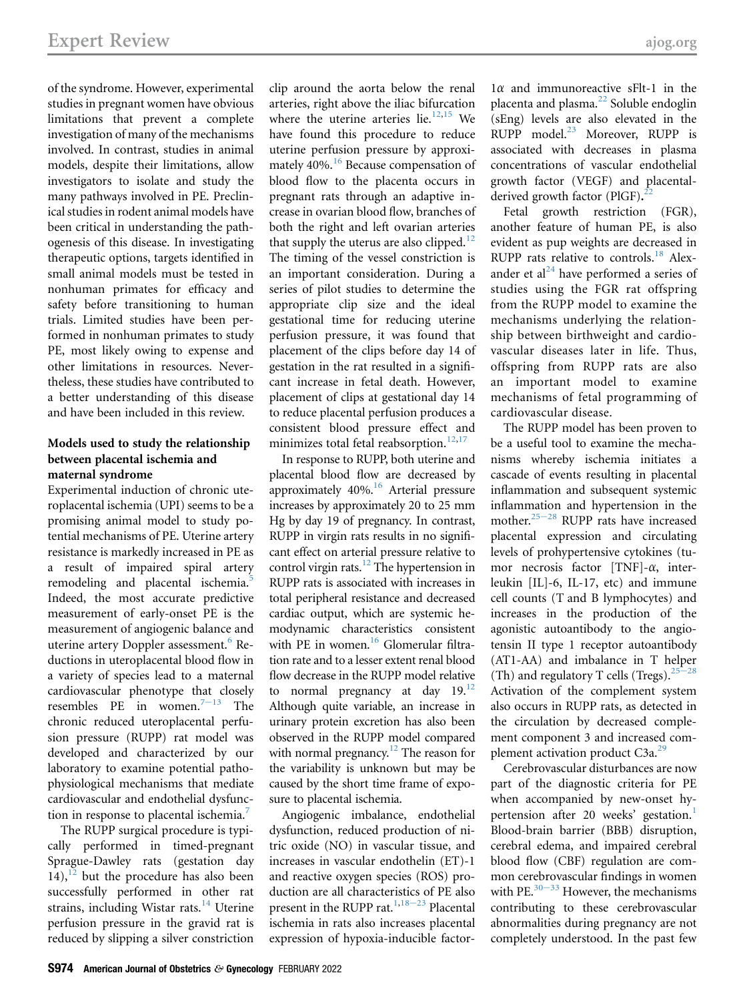of the syndrome. However, experimental studies in pregnant women have obvious limitations that prevent a complete investigation of many of the mechanisms involved. In contrast, studies in animal models, despite their limitations, allow investigators to isolate and study the many pathways involved in PE. Preclinical studies in rodent animal models have been critical in understanding the pathogenesis of this disease. In investigating therapeutic options, targets identified in small animal models must be tested in nonhuman primates for efficacy and safety before transitioning to human trials. Limited studies have been performed in nonhuman primates to study PE, most likely owing to expense and other limitations in resources. Nevertheless, these studies have contributed to a better understanding of this disease and have been included in this review.

#### Models used to study the relationship between placental ischemia and maternal syndrome

Experimental induction of chronic uteroplacental ischemia (UPI) seems to be a promising animal model to study potential mechanisms of PE. Uterine artery resistance is markedly increased in PE as a result of impaired spiral artery remodeling and placental ischemia.<sup>[5](#page-11-2)</sup> Indeed, the most accurate predictive measurement of early-onset PE is the measurement of angiogenic balance and uterine artery Doppler assessment.<sup>[6](#page-11-3)</sup> Reductions in uteroplacental blood flow in a variety of species lead to a maternal cardiovascular phenotype that closely resembles PE in women. $7-13$  $7-13$  The chronic reduced uteroplacental perfusion pressure (RUPP) rat model was developed and characterized by our laboratory to examine potential pathophysiological mechanisms that mediate cardiovascular and endothelial dysfunc-tion in response to placental ischemia.<sup>[7](#page-11-5)</sup>

The RUPP surgical procedure is typically performed in timed-pregnant Sprague-Dawley rats (gestation day  $14$ ),  $12$  but the procedure has also been successfully performed in other rat strains, including Wistar rats.<sup>[14](#page-11-7)</sup> Uterine perfusion pressure in the gravid rat is reduced by slipping a silver constriction

clip around the aorta below the renal arteries, right above the iliac bifurcation where the uterine arteries lie.<sup>[12](#page-11-6),[15](#page-11-8)</sup> We have found this procedure to reduce uterine perfusion pressure by approxi-mately 40%.<sup>[16](#page-11-9)</sup> Because compensation of blood flow to the placenta occurs in pregnant rats through an adaptive increase in ovarian blood flow, branches of both the right and left ovarian arteries that supply the uterus are also clipped.<sup>[12](#page-11-6)</sup> The timing of the vessel constriction is an important consideration. During a series of pilot studies to determine the appropriate clip size and the ideal gestational time for reducing uterine perfusion pressure, it was found that placement of the clips before day 14 of gestation in the rat resulted in a significant increase in fetal death. However, placement of clips at gestational day 14 to reduce placental perfusion produces a consistent blood pressure effect and minimizes total fetal reabsorption.<sup>[12,](#page-11-6)[17](#page-11-10)</sup>

In response to RUPP, both uterine and placental blood flow are decreased by approximately  $40\%$ .<sup>[16](#page-11-9)</sup> Arterial pressure increases by approximately 20 to 25 mm Hg by day 19 of pregnancy. In contrast, RUPP in virgin rats results in no significant effect on arterial pressure relative to control virgin rats.<sup>12</sup> The hypertension in RUPP rats is associated with increases in total peripheral resistance and decreased cardiac output, which are systemic hemodynamic characteristics consistent with PE in women. $16$  Glomerular filtration rate and to a lesser extent renal blood flow decrease in the RUPP model relative to normal pregnancy at day  $19.^{12}$  $19.^{12}$  $19.^{12}$ Although quite variable, an increase in urinary protein excretion has also been observed in the RUPP model compared with normal pregnancy.<sup>12</sup> The reason for the variability is unknown but may be caused by the short time frame of exposure to placental ischemia.

Angiogenic imbalance, endothelial dysfunction, reduced production of nitric oxide (NO) in vascular tissue, and increases in vascular endothelin (ET)-1 and reactive oxygen species (ROS) production are all characteristics of PE also present in the RUPP rat.<sup>1,[18](#page-11-11)-23</sup> Placental ischemia in rats also increases placental expression of hypoxia-inducible factor-

 $1\alpha$  and immunoreactive sFlt-1 in the placenta and plasma.[22](#page-11-12) Soluble endoglin (sEng) levels are also elevated in the RUPP model.<sup>[23](#page-11-13)</sup> Moreover, RUPP is associated with decreases in plasma concentrations of vascular endothelial growth factor (VEGF) and placental-derived growth factor (PlGF).<sup>[22](#page-11-12)</sup>

Fetal growth restriction (FGR), another feature of human PE, is also evident as pup weights are decreased in RUPP rats relative to controls.<sup>[18](#page-11-11)</sup> Alexander et al $^{24}$  $^{24}$  $^{24}$  have performed a series of studies using the FGR rat offspring from the RUPP model to examine the mechanisms underlying the relationship between birthweight and cardiovascular diseases later in life. Thus, offspring from RUPP rats are also an important model to examine mechanisms of fetal programming of cardiovascular disease.

The RUPP model has been proven to be a useful tool to examine the mechanisms whereby ischemia initiates a cascade of events resulting in placental inflammation and subsequent systemic inflammation and hypertension in the mother. $25-28$  $25-28$  RUPP rats have increased placental expression and circulating levels of prohypertensive cytokines (tumor necrosis factor  $[TNF]$ - $\alpha$ , interleukin [IL]-6, IL-17, etc) and immune cell counts (T and B lymphocytes) and increases in the production of the agonistic autoantibody to the angiotensin II type 1 receptor autoantibody (AT1-AA) and imbalance in T helper (Th) and regulatory T cells (Tregs).<sup>[25](#page-11-15)–28</sup> Activation of the complement system also occurs in RUPP rats, as detected in the circulation by decreased complement component 3 and increased com-plement activation product C3a.<sup>[29](#page-11-16)</sup>

Cerebrovascular disturbances are now part of the diagnostic criteria for PE when accompanied by new-onset hy-pertension after 20 weeks' gestation.<sup>[1](#page-11-0)</sup> Blood-brain barrier (BBB) disruption, cerebral edema, and impaired cerebral blood flow (CBF) regulation are common cerebrovascular findings in women with PE. $30-33$  $30-33$  However, the mechanisms contributing to these cerebrovascular abnormalities during pregnancy are not completely understood. In the past few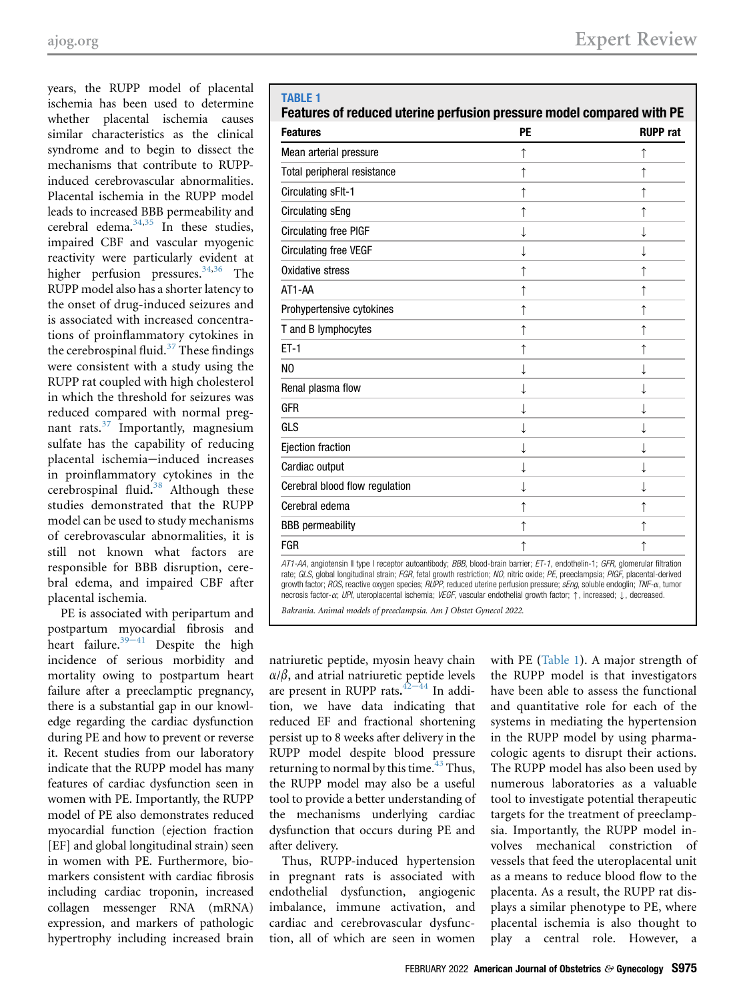years, the RUPP model of placental ischemia has been used to determine whether placental ischemia causes similar characteristics as the clinical syndrome and to begin to dissect the mechanisms that contribute to RUPPinduced cerebrovascular abnormalities. Placental ischemia in the RUPP model leads to increased BBB permeability and cerebral edema. [34](#page-11-18),[35](#page-11-19) In these studies, impaired CBF and vascular myogenic reactivity were particularly evident at higher perfusion pressures.  $34,36$  $34,36$  The RUPP model also has a shorter latency to the onset of drug-induced seizures and is associated with increased concentrations of proinflammatory cytokines in the cerebrospinal fluid. $37$  These findings were consistent with a study using the RUPP rat coupled with high cholesterol in which the threshold for seizures was reduced compared with normal preg-nant rats.<sup>[37](#page-11-21)</sup> Importantly, magnesium sulfate has the capability of reducing placental ischemia-induced increases in proinflammatory cytokines in the cerebrospinal fluid.<sup>[38](#page-11-22)</sup> Although these studies demonstrated that the RUPP model can be used to study mechanisms of cerebrovascular abnormalities, it is still not known what factors are responsible for BBB disruption, cerebral edema, and impaired CBF after placental ischemia.

PE is associated with peripartum and postpartum myocardial fibrosis and heart failure. $39-41$  $39-41$  Despite the high incidence of serious morbidity and mortality owing to postpartum heart failure after a preeclamptic pregnancy, there is a substantial gap in our knowledge regarding the cardiac dysfunction during PE and how to prevent or reverse it. Recent studies from our laboratory indicate that the RUPP model has many features of cardiac dysfunction seen in women with PE. Importantly, the RUPP model of PE also demonstrates reduced myocardial function (ejection fraction [EF] and global longitudinal strain) seen in women with PE. Furthermore, biomarkers consistent with cardiac fibrosis including cardiac troponin, increased collagen messenger RNA (mRNA) expression, and markers of pathologic hypertrophy including increased brain

<span id="page-2-0"></span>

| TABLE 1<br>Features of reduced uterine perfusion pressure model compared with PE                                                                                                                                                                                                                                                                                                                                                                                                                                                                                    |    |                 |  |  |
|---------------------------------------------------------------------------------------------------------------------------------------------------------------------------------------------------------------------------------------------------------------------------------------------------------------------------------------------------------------------------------------------------------------------------------------------------------------------------------------------------------------------------------------------------------------------|----|-----------------|--|--|
| <b>Features</b>                                                                                                                                                                                                                                                                                                                                                                                                                                                                                                                                                     | PE | <b>RUPP</b> rat |  |  |
| Mean arterial pressure                                                                                                                                                                                                                                                                                                                                                                                                                                                                                                                                              | ↑  | ↑               |  |  |
| Total peripheral resistance                                                                                                                                                                                                                                                                                                                                                                                                                                                                                                                                         |    | ↑               |  |  |
| Circulating sFIt-1                                                                                                                                                                                                                                                                                                                                                                                                                                                                                                                                                  | ↑  | ↑               |  |  |
| Circulating sEng                                                                                                                                                                                                                                                                                                                                                                                                                                                                                                                                                    | ↑  | ↑               |  |  |
| <b>Circulating free PIGF</b>                                                                                                                                                                                                                                                                                                                                                                                                                                                                                                                                        | ↓  | ↓               |  |  |
| <b>Circulating free VEGF</b>                                                                                                                                                                                                                                                                                                                                                                                                                                                                                                                                        |    |                 |  |  |
| Oxidative stress                                                                                                                                                                                                                                                                                                                                                                                                                                                                                                                                                    |    | ↑               |  |  |
| AT1-AA                                                                                                                                                                                                                                                                                                                                                                                                                                                                                                                                                              | ↑  | ↑               |  |  |
| Prohypertensive cytokines                                                                                                                                                                                                                                                                                                                                                                                                                                                                                                                                           | ↑  | ↑               |  |  |
| T and B lymphocytes                                                                                                                                                                                                                                                                                                                                                                                                                                                                                                                                                 | ↑  | ↑               |  |  |
| $ET-1$                                                                                                                                                                                                                                                                                                                                                                                                                                                                                                                                                              | ↑  | ↑               |  |  |
| N <sub>0</sub>                                                                                                                                                                                                                                                                                                                                                                                                                                                                                                                                                      | ↓  | ↓               |  |  |
| Renal plasma flow                                                                                                                                                                                                                                                                                                                                                                                                                                                                                                                                                   |    |                 |  |  |
| GFR                                                                                                                                                                                                                                                                                                                                                                                                                                                                                                                                                                 | ↓  | ↓               |  |  |
| GLS                                                                                                                                                                                                                                                                                                                                                                                                                                                                                                                                                                 |    | J               |  |  |
| Ejection fraction                                                                                                                                                                                                                                                                                                                                                                                                                                                                                                                                                   | T  | ↓               |  |  |
| Cardiac output                                                                                                                                                                                                                                                                                                                                                                                                                                                                                                                                                      |    |                 |  |  |
| Cerebral blood flow regulation                                                                                                                                                                                                                                                                                                                                                                                                                                                                                                                                      | ↓  | ↓               |  |  |
| Cerebral edema                                                                                                                                                                                                                                                                                                                                                                                                                                                                                                                                                      |    | ↑               |  |  |
| <b>BBB</b> permeability                                                                                                                                                                                                                                                                                                                                                                                                                                                                                                                                             | ↑  | ↑               |  |  |
| FGR                                                                                                                                                                                                                                                                                                                                                                                                                                                                                                                                                                 |    |                 |  |  |
| AT1-AA, angiotensin II type I receptor autoantibody; BBB, blood-brain barrier; ET-1, endothelin-1; GFR, glomerular filtration<br>rate; GLS, global longitudinal strain; FGR, fetal growth restriction; NO, nitric oxide; PE, preeclampsia; PIGF, placental-derived<br>growth factor; ROS, reactive oxygen species; RUPP, reduced uterine perfusion pressure; sEng, soluble endoglin; TNF- $\alpha$ , tumor<br>necrosis factor- $\alpha$ ; UPI, uteroplacental ischemia; VEGF, vascular endothelial growth factor; $\uparrow$ , increased; $\downarrow$ , decreased. |    |                 |  |  |

Bakrania. Animal models of preeclampsia. Am J Obstet Gynecol 2022.

natriuretic peptide, myosin heavy chain  $\alpha/\beta$ , and atrial natriuretic peptide levels are present in RUPP rats. $42-44$  $42-44$  In addition, we have data indicating that reduced EF and fractional shortening persist up to 8 weeks after delivery in the RUPP model despite blood pressure returning to normal by this time.<sup>[43](#page-12-1)</sup> Thus, the RUPP model may also be a useful tool to provide a better understanding of the mechanisms underlying cardiac dysfunction that occurs during PE and after delivery.

Thus, RUPP-induced hypertension in pregnant rats is associated with endothelial dysfunction, angiogenic imbalance, immune activation, and cardiac and cerebrovascular dysfunction, all of which are seen in women

with PE ([Table 1](#page-2-0)). A major strength of the RUPP model is that investigators have been able to assess the functional and quantitative role for each of the systems in mediating the hypertension in the RUPP model by using pharmacologic agents to disrupt their actions. The RUPP model has also been used by numerous laboratories as a valuable tool to investigate potential therapeutic targets for the treatment of preeclampsia. Importantly, the RUPP model involves mechanical constriction of vessels that feed the uteroplacental unit as a means to reduce blood flow to the placenta. As a result, the RUPP rat displays a similar phenotype to PE, where placental ischemia is also thought to play a central role. However, a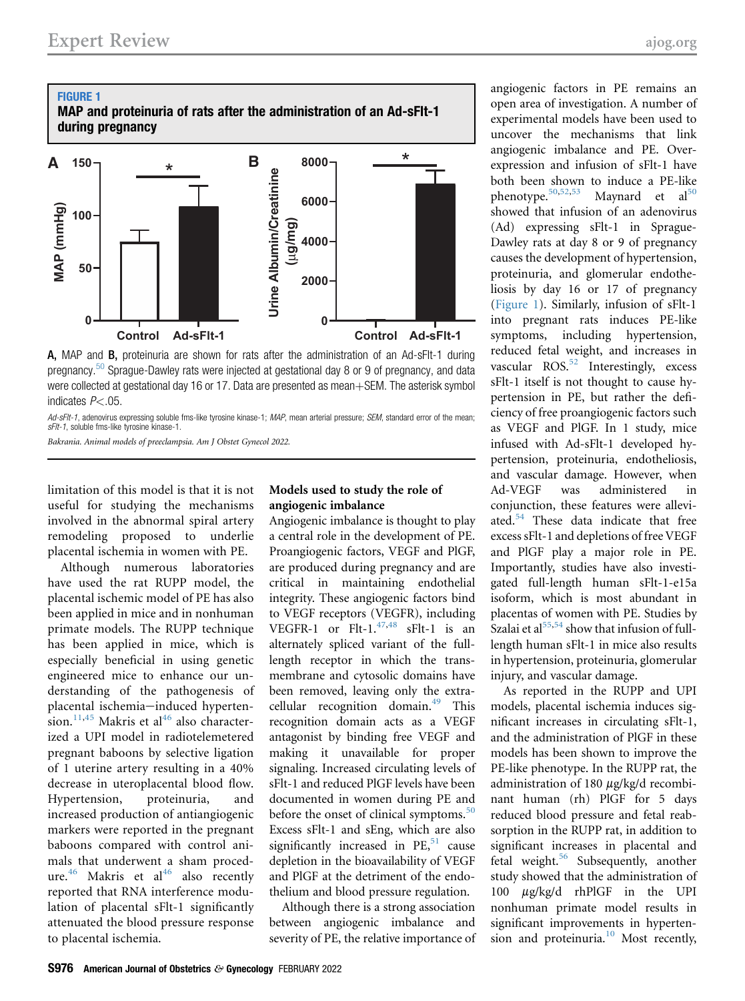# <span id="page-3-0"></span>FIGURE 1 MAP and proteinuria of rats after the administration of an Ad-sFlt-1 during pregnancy



A, MAP and B, proteinuria are shown for rats after the administration of an Ad-sFlt-1 during pregnancy.<sup>[50](#page-12-7)</sup> Sprague-Dawley rats were injected at gestational day 8 or 9 of pregnancy, and data were collected at gestational day 16 or 17. Data are presented as mean+SEM. The asterisk symbol indicates  $P < 0.5$ .

Ad-sFlt-1, adenovirus expressing soluble fms-like tyrosine kinase-1; MAP, mean arterial pressure; SEM, standard error of the mean; sFlt-1, soluble fms-like tyrosine kinase-1.

Bakrania. Animal models of preeclampsia. Am J Obstet Gynecol 2022.

limitation of this model is that it is not useful for studying the mechanisms involved in the abnormal spiral artery remodeling proposed to underlie placental ischemia in women with PE.

Although numerous laboratories have used the rat RUPP model, the placental ischemic model of PE has also been applied in mice and in nonhuman primate models. The RUPP technique has been applied in mice, which is especially beneficial in using genetic engineered mice to enhance our understanding of the pathogenesis of placental ischemia-induced hyperten-sion.<sup>[11,](#page-11-24)[45](#page-12-2)</sup> Makris et al<sup>[46](#page-12-3)</sup> also characterized a UPI model in radiotelemetered pregnant baboons by selective ligation of 1 uterine artery resulting in a 40% decrease in uteroplacental blood flow. Hypertension, proteinuria, and increased production of antiangiogenic markers were reported in the pregnant baboons compared with control animals that underwent a sham proced-ure.<sup>[46](#page-12-3)</sup> Makris et al<sup>46</sup> also recently reported that RNA interference modulation of placental sFlt-1 significantly attenuated the blood pressure response to placental ischemia.

#### Models used to study the role of angiogenic imbalance

Angiogenic imbalance is thought to play a central role in the development of PE. Proangiogenic factors, VEGF and PlGF, are produced during pregnancy and are critical in maintaining endothelial integrity. These angiogenic factors bind to VEGF receptors (VEGFR), including VEGFR-1 or Flt-1. $47,48$  $47,48$  sFlt-1 is an alternately spliced variant of the fulllength receptor in which the transmembrane and cytosolic domains have been removed, leaving only the extra-cellular recognition domain.<sup>[49](#page-12-6)</sup> This recognition domain acts as a VEGF antagonist by binding free VEGF and making it unavailable for proper signaling. Increased circulating levels of sFlt-1 and reduced PlGF levels have been documented in women during PE and before the onset of clinical symptoms.<sup>[50](#page-12-7)</sup> Excess sFlt-1 and sEng, which are also significantly increased in  $PE<sub>2</sub>$ <sup>[51](#page-12-8)</sup> cause depletion in the bioavailability of VEGF and PlGF at the detriment of the endothelium and blood pressure regulation.

Although there is a strong association between angiogenic imbalance and severity of PE, the relative importance of

angiogenic factors in PE remains an open area of investigation. A number of experimental models have been used to uncover the mechanisms that link angiogenic imbalance and PE. Overexpression and infusion of sFlt-1 have both been shown to induce a PE-like phenotype. $50,52,53$  $50,52,53$  $50,52,53$  Maynard et al<sup>50</sup> showed that infusion of an adenovirus (Ad) expressing sFlt-1 in Sprague-Dawley rats at day 8 or 9 of pregnancy causes the development of hypertension, proteinuria, and glomerular endotheliosis by day 16 or 17 of pregnancy [\(Figure 1\)](#page-3-0). Similarly, infusion of sFlt-1 into pregnant rats induces PE-like symptoms, including hypertension, reduced fetal weight, and increases in vascular ROS.<sup>[52](#page-12-9)</sup> Interestingly, excess sFlt-1 itself is not thought to cause hypertension in PE, but rather the deficiency of free proangiogenic factors such as VEGF and PlGF. In 1 study, mice infused with Ad-sFlt-1 developed hypertension, proteinuria, endotheliosis, and vascular damage. However, when Ad-VEGF was administered in conjunction, these features were allevi-ated.<sup>[54](#page-12-11)</sup> These data indicate that free excess sFlt-1 and depletions of free VEGF and PlGF play a major role in PE. Importantly, studies have also investigated full-length human sFlt-1-e15a isoform, which is most abundant in placentas of women with PE. Studies by Szalai et al $55,54$  $55,54$  show that infusion of fulllength human sFlt-1 in mice also results in hypertension, proteinuria, glomerular injury, and vascular damage.

As reported in the RUPP and UPI models, placental ischemia induces significant increases in circulating sFlt-1, and the administration of PlGF in these models has been shown to improve the PE-like phenotype. In the RUPP rat, the administration of 180  $\mu$ g/kg/d recombinant human (rh) PlGF for 5 days reduced blood pressure and fetal reabsorption in the RUPP rat, in addition to significant increases in placental and fetal weight.<sup>[56](#page-12-13)</sup> Subsequently, another study showed that the administration of 100  $\mu$ g/kg/d rhPlGF in the UPI nonhuman primate model results in significant improvements in hyperten-sion and proteinuria.<sup>[10](#page-11-4)</sup> Most recently,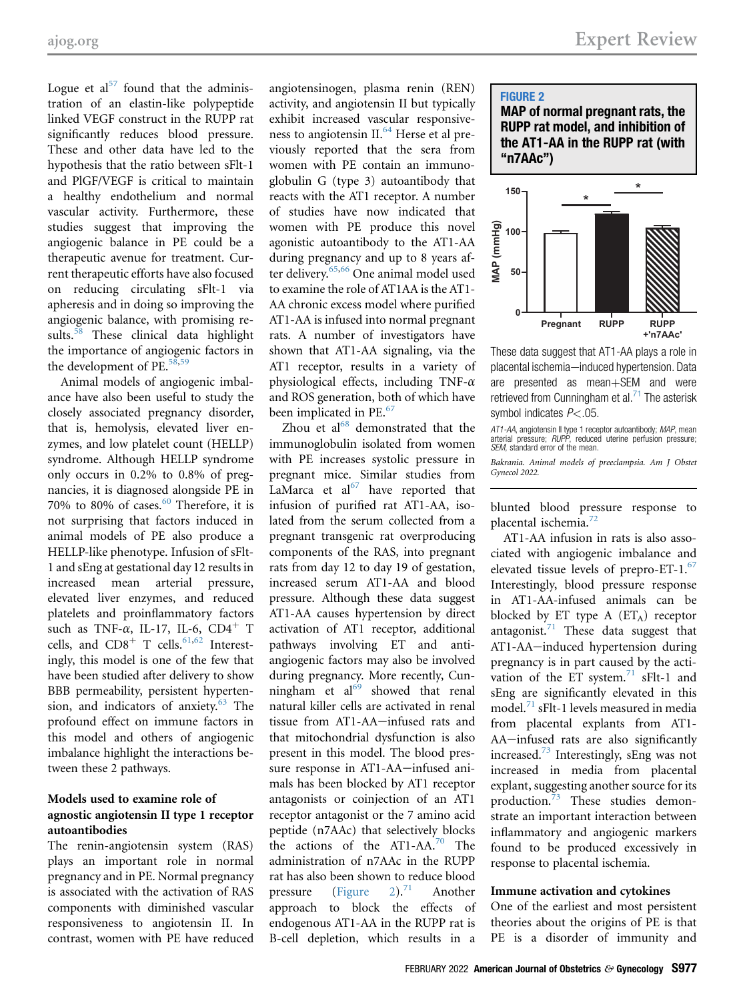Logue et  $al<sup>57</sup>$  $al<sup>57</sup>$  $al<sup>57</sup>$  found that the administration of an elastin-like polypeptide linked VEGF construct in the RUPP rat significantly reduces blood pressure. These and other data have led to the hypothesis that the ratio between sFlt-1 and PlGF/VEGF is critical to maintain a healthy endothelium and normal vascular activity. Furthermore, these studies suggest that improving the angiogenic balance in PE could be a therapeutic avenue for treatment. Current therapeutic efforts have also focused on reducing circulating sFlt-1 via apheresis and in doing so improving the angiogenic balance, with promising results.<sup>58</sup> These clinical data highlight the importance of angiogenic factors in the development of PE. $^{58,59}$  $^{58,59}$  $^{58,59}$  $^{58,59}$ 

Animal models of angiogenic imbalance have also been useful to study the closely associated pregnancy disorder, that is, hemolysis, elevated liver enzymes, and low platelet count (HELLP) syndrome. Although HELLP syndrome only occurs in 0.2% to 0.8% of pregnancies, it is diagnosed alongside PE in 70% to 80% of cases. $60$  Therefore, it is not surprising that factors induced in animal models of PE also produce a HELLP-like phenotype. Infusion of sFlt-1 and sEng at gestational day 12 results in increased mean arterial pressure, elevated liver enzymes, and reduced platelets and proinflammatory factors such as TNF- $\alpha$ , IL-17, IL-6, CD4<sup>+</sup> T cells, and  $CDB<sup>+</sup> T$  cells.<sup>[61](#page-12-18)[,62](#page-12-19)</sup> Interestingly, this model is one of the few that have been studied after delivery to show BBB permeability, persistent hyperten-sion, and indicators of anxiety.<sup>[63](#page-12-20)</sup> The profound effect on immune factors in this model and others of angiogenic imbalance highlight the interactions between these 2 pathways.

#### Models used to examine role of agnostic angiotensin II type 1 receptor autoantibodies

The renin-angiotensin system (RAS) plays an important role in normal pregnancy and in PE. Normal pregnancy is associated with the activation of RAS components with diminished vascular responsiveness to angiotensin II. In contrast, women with PE have reduced angiotensinogen, plasma renin (REN) activity, and angiotensin II but typically exhibit increased vascular responsiveness to angiotensin II.<sup>64</sup> Herse et al previously reported that the sera from women with PE contain an immunoglobulin G (type 3) autoantibody that reacts with the AT1 receptor. A number of studies have now indicated that women with PE produce this novel agonistic autoantibody to the AT1-AA during pregnancy and up to 8 years after delivery[.65,](#page-12-22)[66](#page-12-23) One animal model used to examine the role of AT1AA is the AT1- AA chronic excess model where purified AT1-AA is infused into normal pregnant rats. A number of investigators have shown that AT1-AA signaling, via the AT1 receptor, results in a variety of physiological effects, including TNF- $\alpha$ and ROS generation, both of which have been implicated in PE.<sup>[67](#page-12-24)</sup>

Zhou et  $al^{68}$  $al^{68}$  $al^{68}$  demonstrated that the immunoglobulin isolated from women with PE increases systolic pressure in pregnant mice. Similar studies from LaMarca et  $al^{67}$  $al^{67}$  $al^{67}$  have reported that infusion of purified rat AT1-AA, isolated from the serum collected from a pregnant transgenic rat overproducing components of the RAS, into pregnant rats from day 12 to day 19 of gestation, increased serum AT1-AA and blood pressure. Although these data suggest AT1-AA causes hypertension by direct activation of AT1 receptor, additional pathways involving ET and antiangiogenic factors may also be involved during pregnancy. More recently, Cunningham et  $al^{69}$  $al^{69}$  $al^{69}$  showed that renal natural killer cells are activated in renal tissue from AT1-AA-infused rats and that mitochondrial dysfunction is also present in this model. The blood pressure response in AT1-AA-infused animals has been blocked by AT1 receptor antagonists or coinjection of an AT1 receptor antagonist or the 7 amino acid peptide (n7AAc) that selectively blocks the actions of the  $AT1-AA$ <sup>[70](#page-12-27)</sup> The administration of n7AAc in the RUPP rat has also been shown to reduce blood pressure  $(Figure 2)$ .<sup>[71](#page-12-28)</sup> Another approach to block the effects of endogenous AT1-AA in the RUPP rat is B-cell depletion, which results in a

## <span id="page-4-0"></span>FIGURE 2

MAP of normal pregnant rats, the RUPP rat model, and inhibition of the AT1-AA in the RUPP rat (with "n7AAc")



These data suggest that AT1-AA plays a role in placental ischemia-induced hypertension. Data are presented as mean+SEM and were retrieved from Cunningham et al. $^{71}$  $^{71}$  $^{71}$  The asterisk symbol indicates  $P<.05$ .

A*T1-AA*, angiotensin II type 1 receptor autoantibody; *MAP*, mean<br>arterial pressure; *RUPP*, reduced uterine perfusion pressure;<br>*SEM*, standard error of the mean.

Bakrania. Animal models of preeclampsia. Am J Obstet Gynecol 2022.

blunted blood pressure response to placental ischemia.<sup>[72](#page-12-29)</sup>

AT1-AA infusion in rats is also associated with angiogenic imbalance and elevated tissue levels of prepro-ET-1.<sup>[67](#page-12-24)</sup> Interestingly, blood pressure response in AT1-AA-infused animals can be blocked by ET type  $A$  (ET<sub>A</sub>) receptor antagonist. $71$  These data suggest that AT1-AA-induced hypertension during pregnancy is in part caused by the activation of the ET system. $71$  sFlt-1 and sEng are significantly elevated in this model.<sup>71</sup> sFlt-1 levels measured in media from placental explants from AT1- AA-infused rats are also significantly increased.[73](#page-12-30) Interestingly, sEng was not increased in media from placental explant, suggesting another source for its production.<sup>[73](#page-12-30)</sup> These studies demonstrate an important interaction between inflammatory and angiogenic markers found to be produced excessively in response to placental ischemia.

#### Immune activation and cytokines

One of the earliest and most persistent theories about the origins of PE is that PE is a disorder of immunity and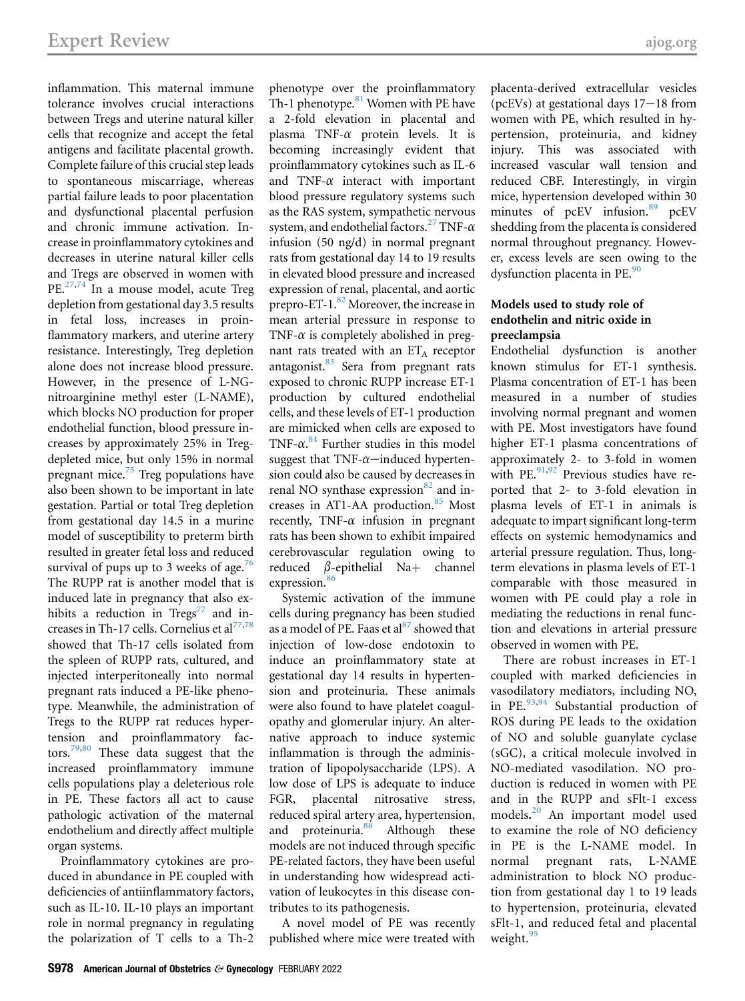inflammation. This maternal immune tolerance involves crucial interactions between Tregs and uterine natural killer cells that recognize and accept the fetal antigens and facilitate placental growth. Complete failure of this crucial step leads to spontaneous miscarriage, whereas partial failure leads to poor placentation and dysfunctional placental perfusion and chronic immune activation. Increase in proinflammatory cytokines and decreases in uterine natural killer cells and Tregs are observed in women with PE.<sup>[27](#page-11-25)[,74](#page-12-31)</sup> In a mouse model, acute Treg depletion from gestational day 3.5 results in fetal loss, increases in proinflammatory markers, and uterine artery resistance. Interestingly, Treg depletion alone does not increase blood pressure. However, in the presence of L-NGnitroarginine methyl ester (L-NAME), which blocks NO production for proper endothelial function, blood pressure increases by approximately 25% in Tregdepleted mice, but only 15% in normal pregnant mice. $75$  Treg populations have also been shown to be important in late gestation. Partial or total Treg depletion from gestational day 14.5 in a murine model of susceptibility to preterm birth resulted in greater fetal loss and reduced survival of pups up to 3 weeks of age.<sup>[76](#page-12-33)</sup> The RUPP rat is another model that is induced late in pregnancy that also ex-hibits a reduction in Tregs<sup>[77](#page-12-34)</sup> and in-creases in Th-17 cells. Cornelius et al<sup>[77](#page-12-34)[,78](#page-12-35)</sup> showed that Th-17 cells isolated from the spleen of RUPP rats, cultured, and injected interperitoneally into normal pregnant rats induced a PE-like phenotype. Meanwhile, the administration of Tregs to the RUPP rat reduces hypertension and proinflammatory factors.[79](#page-12-36)[,80](#page-12-37) These data suggest that the increased proinflammatory immune cells populations play a deleterious role in PE. These factors all act to cause pathologic activation of the maternal endothelium and directly affect multiple organ systems.

Proinflammatory cytokines are produced in abundance in PE coupled with deficiencies of antiinflammatory factors, such as IL-10. IL-10 plays an important role in normal pregnancy in regulating the polarization of T cells to a Th-2 phenotype over the proinflammatory Th-1 phenotype. $81$  Women with PE have a 2-fold elevation in placental and plasma TNF- $\alpha$  protein levels. It is becoming increasingly evident that proinflammatory cytokines such as IL-6 and  $TNF-\alpha$  interact with important blood pressure regulatory systems such as the RAS system, sympathetic nervous system, and endothelial factors.<sup>[27](#page-11-25)</sup> TNF- $\alpha$ infusion (50 ng/d) in normal pregnant rats from gestational day 14 to 19 results in elevated blood pressure and increased expression of renal, placental, and aortic prepro-ET-1.[82](#page-12-39) Moreover, the increase in mean arterial pressure in response to TNF- $\alpha$  is completely abolished in pregnant rats treated with an  $ET_A$  receptor antagonist.<sup>[83](#page-12-40)</sup> Sera from pregnant rats exposed to chronic RUPP increase ET-1 production by cultured endothelial cells, and these levels of ET-1 production are mimicked when cells are exposed to TNF- $\alpha$ .<sup>[84](#page-13-0)</sup> Further studies in this model suggest that TNF- $\alpha$ -induced hypertension could also be caused by decreases in renal NO synthase expression $82$  and in-creases in AT1-AA production.<sup>[85](#page-13-1)</sup> Most recently, TNF- $\alpha$  infusion in pregnant rats has been shown to exhibit impaired cerebrovascular regulation owing to reduced  $\beta$ -epithelial Na+ channel expression.<sup>[86](#page-13-2)</sup>

Systemic activation of the immune cells during pregnancy has been studied as a model of PE. Faas et  $al^{87}$  $al^{87}$  $al^{87}$  showed that injection of low-dose endotoxin to induce an proinflammatory state at gestational day 14 results in hypertension and proteinuria. These animals were also found to have platelet coagulopathy and glomerular injury. An alternative approach to induce systemic inflammation is through the administration of lipopolysaccharide (LPS). A low dose of LPS is adequate to induce FGR, placental nitrosative stress, reduced spiral artery area, hypertension, and proteinuria.<sup>[88](#page-13-4)</sup> Although these models are not induced through specific PE-related factors, they have been useful in understanding how widespread activation of leukocytes in this disease contributes to its pathogenesis.

A novel model of PE was recently published where mice were treated with

placenta-derived extracellular vesicles (pcEVs) at gestational days  $17-18$  from women with PE, which resulted in hypertension, proteinuria, and kidney injury. This was associated with increased vascular wall tension and reduced CBF. Interestingly, in virgin mice, hypertension developed within 30 minutes of pcEV infusion.<sup>[89](#page-13-5)</sup> pcEV shedding from the placenta is considered normal throughout pregnancy. However, excess levels are seen owing to the dysfunction placenta in PE.<sup>[90](#page-13-6)</sup>

#### Models used to study role of endothelin and nitric oxide in preeclampsia

Endothelial dysfunction is another known stimulus for ET-1 synthesis. Plasma concentration of ET-1 has been measured in a number of studies involving normal pregnant and women with PE. Most investigators have found higher ET-1 plasma concentrations of approximately 2- to 3-fold in women with PE. $91,92$  $91,92$  $91,92$  Previous studies have reported that 2- to 3-fold elevation in plasma levels of ET-1 in animals is adequate to impart significant long-term effects on systemic hemodynamics and arterial pressure regulation. Thus, longterm elevations in plasma levels of ET-1 comparable with those measured in women with PE could play a role in mediating the reductions in renal function and elevations in arterial pressure observed in women with PE.

There are robust increases in ET-1 coupled with marked deficiencies in vasodilatory mediators, including NO, in PE. $93,94$  $93,94$  Substantial production of ROS during PE leads to the oxidation of NO and soluble guanylate cyclase (sGC), a critical molecule involved in NO-mediated vasodilation. NO production is reduced in women with PE and in the RUPP and sFlt-1 excess models. [20](#page-11-26) An important model used to examine the role of NO deficiency in PE is the L-NAME model. In normal pregnant rats, L-NAME administration to block NO production from gestational day 1 to 19 leads to hypertension, proteinuria, elevated sFlt-1, and reduced fetal and placental weight.<sup>[95](#page-13-11)</sup>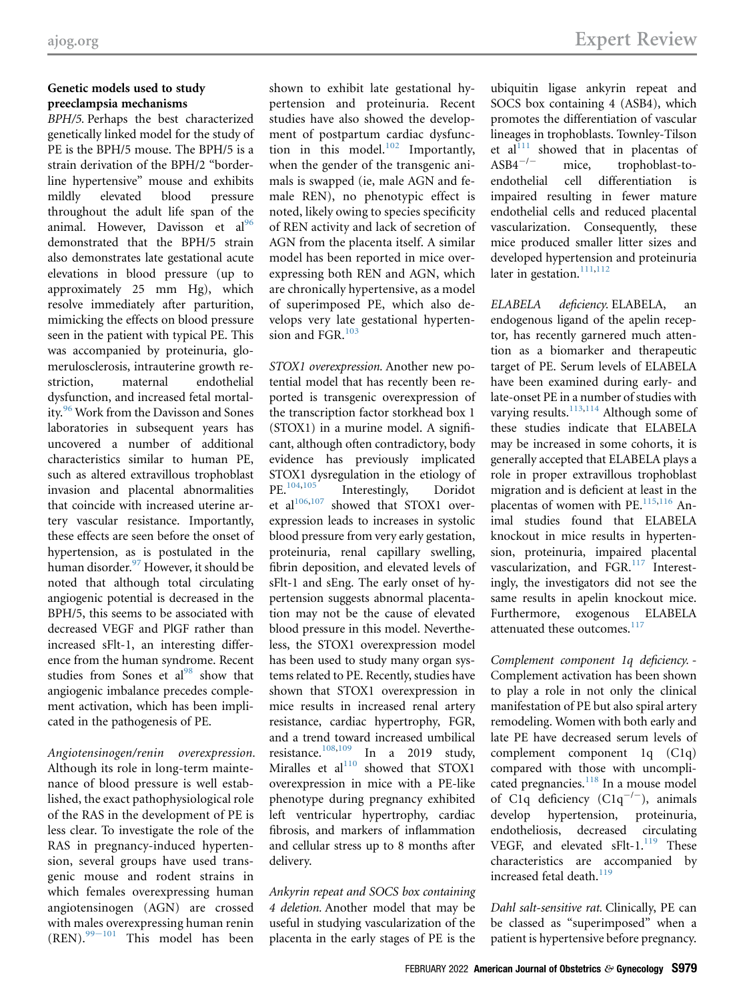#### Genetic models used to study preeclampsia mechanisms

BPH/5. Perhaps the best characterized genetically linked model for the study of PE is the BPH/5 mouse. The BPH/5 is a strain derivation of the BPH/2 "borderline hypertensive" mouse and exhibits mildly elevated blood pressure throughout the adult life span of the animal. However, Davisson et al $^{96}$  $^{96}$  $^{96}$ demonstrated that the BPH/5 strain also demonstrates late gestational acute elevations in blood pressure (up to approximately 25 mm Hg), which resolve immediately after parturition, mimicking the effects on blood pressure seen in the patient with typical PE. This was accompanied by proteinuria, glomerulosclerosis, intrauterine growth restriction, maternal endothelial dysfunction, and increased fetal mortal-ity.<sup>[96](#page-13-12)</sup> Work from the Davisson and Sones laboratories in subsequent years has uncovered a number of additional characteristics similar to human PE, such as altered extravillous trophoblast invasion and placental abnormalities that coincide with increased uterine artery vascular resistance. Importantly, these effects are seen before the onset of hypertension, as is postulated in the human disorder.<sup>[97](#page-13-13)</sup> However, it should be noted that although total circulating angiogenic potential is decreased in the BPH/5, this seems to be associated with decreased VEGF and PlGF rather than increased sFlt-1, an interesting difference from the human syndrome. Recent studies from Sones et  $al^{98}$  $al^{98}$  $al^{98}$  show that angiogenic imbalance precedes complement activation, which has been implicated in the pathogenesis of PE.

#### Angiotensinogen/renin overexpression. Although its role in long-term maintenance of blood pressure is well established, the exact pathophysiological role of the RAS in the development of PE is less clear. To investigate the role of the RAS in pregnancy-induced hypertension, several groups have used transgenic mouse and rodent strains in which females overexpressing human angiotensinogen (AGN) are crossed with males overexpressing human renin  $(REN).<sup>99-101</sup>$  $(REN).<sup>99-101</sup>$  $(REN).<sup>99-101</sup>$  This model has been

shown to exhibit late gestational hypertension and proteinuria. Recent studies have also showed the development of postpartum cardiac dysfunction in this model. $102$  Importantly, when the gender of the transgenic animals is swapped (ie, male AGN and female REN), no phenotypic effect is noted, likely owing to species specificity of REN activity and lack of secretion of AGN from the placenta itself. A similar model has been reported in mice overexpressing both REN and AGN, which are chronically hypertensive, as a model of superimposed PE, which also develops very late gestational hypertension and FGR. $103$ 

STOX1 overexpression. Another new potential model that has recently been reported is transgenic overexpression of the transcription factor storkhead box 1 (STOX1) in a murine model. A significant, although often contradictory, body evidence has previously implicated STOX1 dysregulation in the etiology of<br>  $PE^{-104,105}$  Interestingly. Doridot PE.<sup>[104](#page-13-18)[,105](#page-13-19)</sup> Interestingly, Doridot et al<sup>[106](#page-13-20)[,107](#page-13-21)</sup> showed that STOX1 overexpression leads to increases in systolic blood pressure from very early gestation, proteinuria, renal capillary swelling, fibrin deposition, and elevated levels of sFlt-1 and sEng. The early onset of hypertension suggests abnormal placentation may not be the cause of elevated blood pressure in this model. Nevertheless, the STOX1 overexpression model has been used to study many organ systems related to PE. Recently, studies have shown that STOX1 overexpression in mice results in increased renal artery resistance, cardiac hypertrophy, FGR, and a trend toward increased umbilical resistance.[108](#page-13-22)[,109](#page-13-23) In a 2019 study, Miralles et al $^{110}$  $^{110}$  $^{110}$  showed that STOX1 overexpression in mice with a PE-like phenotype during pregnancy exhibited left ventricular hypertrophy, cardiac fibrosis, and markers of inflammation and cellular stress up to 8 months after delivery.

Ankyrin repeat and SOCS box containing 4 deletion. Another model that may be useful in studying vascularization of the placenta in the early stages of PE is the

ubiquitin ligase ankyrin repeat and SOCS box containing 4 (ASB4), which promotes the differentiation of vascular lineages in trophoblasts. Townley-Tilson et al $^{111}$  $^{111}$  $^{111}$  showed that in placentas of  $ASB4^{-/-}$  mice, trophoblast-toendothelial cell differentiation is impaired resulting in fewer mature endothelial cells and reduced placental vascularization. Consequently, these mice produced smaller litter sizes and developed hypertension and proteinuria later in gestation.<sup>[111](#page-13-25)[,112](#page-13-26)</sup>

ELABELA deficiency. ELABELA, an endogenous ligand of the apelin receptor, has recently garnered much attention as a biomarker and therapeutic target of PE. Serum levels of ELABELA have been examined during early- and late-onset PE in a number of studies with varying results. $113,114$  $113,114$  Although some of these studies indicate that ELABELA may be increased in some cohorts, it is generally accepted that ELABELA plays a role in proper extravillous trophoblast migration and is deficient at least in the placentas of women with PE.<sup>[115,](#page-13-29)[116](#page-13-30)</sup> Animal studies found that ELABELA knockout in mice results in hypertension, proteinuria, impaired placental vascularization, and FGR.[117](#page-13-31) Interestingly, the investigators did not see the same results in apelin knockout mice. Furthermore, exogenous ELABELA attenuated these outcomes.<sup>[117](#page-13-31)</sup>

Complement component 1q deficiency. - Complement activation has been shown to play a role in not only the clinical manifestation of PE but also spiral artery remodeling. Women with both early and late PE have decreased serum levels of complement component 1q (C1q) compared with those with uncomplicated pregnancies. $\frac{118}{10}$  $\frac{118}{10}$  $\frac{118}{10}$  In a mouse model of C1q deficiency  $(C1q^{-/-})$ , animals develop hypertension, proteinuria, endotheliosis, decreased circulating VEGF, and elevated sFlt-1.<sup>[119](#page-13-33)</sup> These characteristics are accompanied by increased fetal death.<sup>119</sup>

Dahl salt-sensitive rat. Clinically, PE can be classed as "superimposed" when a patient is hypertensive before pregnancy.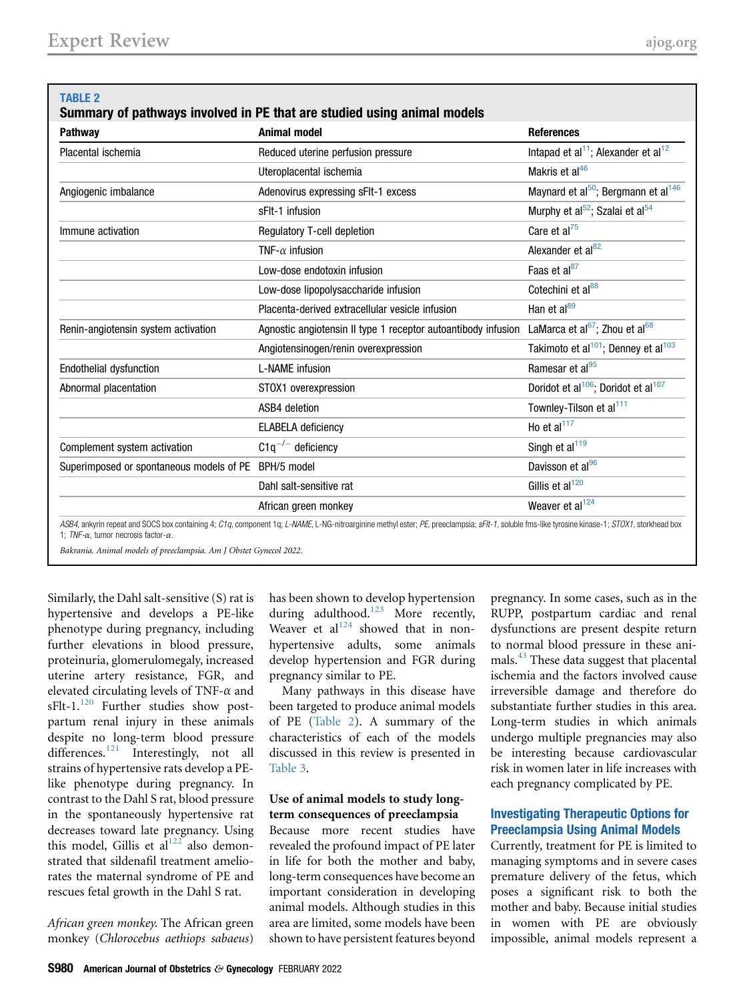<span id="page-7-0"></span>

| Pathway                                  | <b>Animal model</b>                                           | <b>References</b>                                           |
|------------------------------------------|---------------------------------------------------------------|-------------------------------------------------------------|
| Placental ischemia                       | Reduced uterine perfusion pressure                            | Intapad et al <sup>11</sup> ; Alexander et al <sup>12</sup> |
|                                          | Uteroplacental ischemia                                       | Makris et al <sup>46</sup>                                  |
| Angiogenic imbalance                     | Adenovirus expressing sFIt-1 excess                           | Maynard et al <sup>50</sup> ; Bergmann et al <sup>146</sup> |
|                                          | sFlt-1 infusion                                               | Murphy et al <sup>52</sup> ; Szalai et al <sup>54</sup>     |
| Immune activation                        | <b>Regulatory T-cell depletion</b>                            | Care et al <sup>75</sup>                                    |
|                                          | TNF- $\alpha$ infusion                                        | Alexander et al <sup>82</sup>                               |
|                                          | Low-dose endotoxin infusion                                   | Faas et al <sup>87</sup>                                    |
|                                          | Low-dose lipopolysaccharide infusion                          | Cotechini et al <sup>88</sup>                               |
|                                          | Placenta-derived extracellular vesicle infusion               | Han et al <sup>89</sup>                                     |
| Renin-angiotensin system activation      | Agnostic angiotensin II type 1 receptor autoantibody infusion | LaMarca et al <sup>67</sup> ; Zhou et al <sup>68</sup>      |
|                                          | Angiotensinogen/renin overexpression                          | Takimoto et al <sup>101</sup> ; Denney et al <sup>103</sup> |
| Endothelial dysfunction                  | L-NAME infusion                                               | Ramesar et al <sup>95</sup>                                 |
| Abnormal placentation                    | STOX1 overexpression                                          | Doridot et al <sup>106</sup> ; Doridot et al <sup>107</sup> |
|                                          | ASB4 deletion                                                 | Townley-Tilson et al <sup>111</sup>                         |
|                                          | <b>ELABELA deficiency</b>                                     | Ho et $al117$                                               |
| Complement system activation             | $C1q^{-/-}$ deficiency                                        | Singh et $al119$                                            |
| Superimposed or spontaneous models of PE | BPH/5 model                                                   | Davisson et al <sup>96</sup>                                |
|                                          | Dahl salt-sensitive rat                                       | Gillis et al <sup>120</sup>                                 |
|                                          | African green monkey                                          | Weaver et al <sup>124</sup>                                 |

Bakrania. Animal models of preeclampsia. Am J Obstet Gynecol 2022.

Similarly, the Dahl salt-sensitive (S) rat is hypertensive and develops a PE-like phenotype during pregnancy, including further elevations in blood pressure, proteinuria, glomerulomegaly, increased uterine artery resistance, FGR, and elevated circulating levels of TNF- $\alpha$  and  $sFlt-1.<sup>120</sup>$  $sFlt-1.<sup>120</sup>$  $sFlt-1.<sup>120</sup>$  Further studies show postpartum renal injury in these animals despite no long-term blood pressure differences.<sup>[121](#page-13-35)</sup> Interestingly, not all strains of hypertensive rats develop a PElike phenotype during pregnancy. In contrast to the Dahl S rat, blood pressure in the spontaneously hypertensive rat decreases toward late pregnancy. Using this model, Gillis et al<sup>[122](#page-13-36)</sup> also demonstrated that sildenafil treatment ameliorates the maternal syndrome of PE and rescues fetal growth in the Dahl S rat.

African green monkey. The African green monkey (Chlorocebus aethiops sabaeus) has been shown to develop hypertension during adulthood.<sup>[123](#page-13-37)</sup> More recently, Weaver et  $al^{124}$  $al^{124}$  $al^{124}$  showed that in nonhypertensive adults, some animals develop hypertension and FGR during pregnancy similar to PE.

Many pathways in this disease have been targeted to produce animal models of PE [\(Table 2](#page-7-0)). A summary of the characteristics of each of the models discussed in this review is presented in [Table 3.](#page-8-0)

### Use of animal models to study longterm consequences of preeclampsia

Because more recent studies have revealed the profound impact of PE later in life for both the mother and baby, long-term consequences have become an important consideration in developing animal models. Although studies in this area are limited, some models have been shown to have persistent features beyond pregnancy. In some cases, such as in the RUPP, postpartum cardiac and renal dysfunctions are present despite return to normal blood pressure in these animals.[43](#page-12-1) These data suggest that placental ischemia and the factors involved cause irreversible damage and therefore do substantiate further studies in this area. Long-term studies in which animals undergo multiple pregnancies may also be interesting because cardiovascular risk in women later in life increases with each pregnancy complicated by PE.

#### Investigating Therapeutic Options for Preeclampsia Using Animal Models

Currently, treatment for PE is limited to managing symptoms and in severe cases premature delivery of the fetus, which poses a significant risk to both the mother and baby. Because initial studies in women with PE are obviously impossible, animal models represent a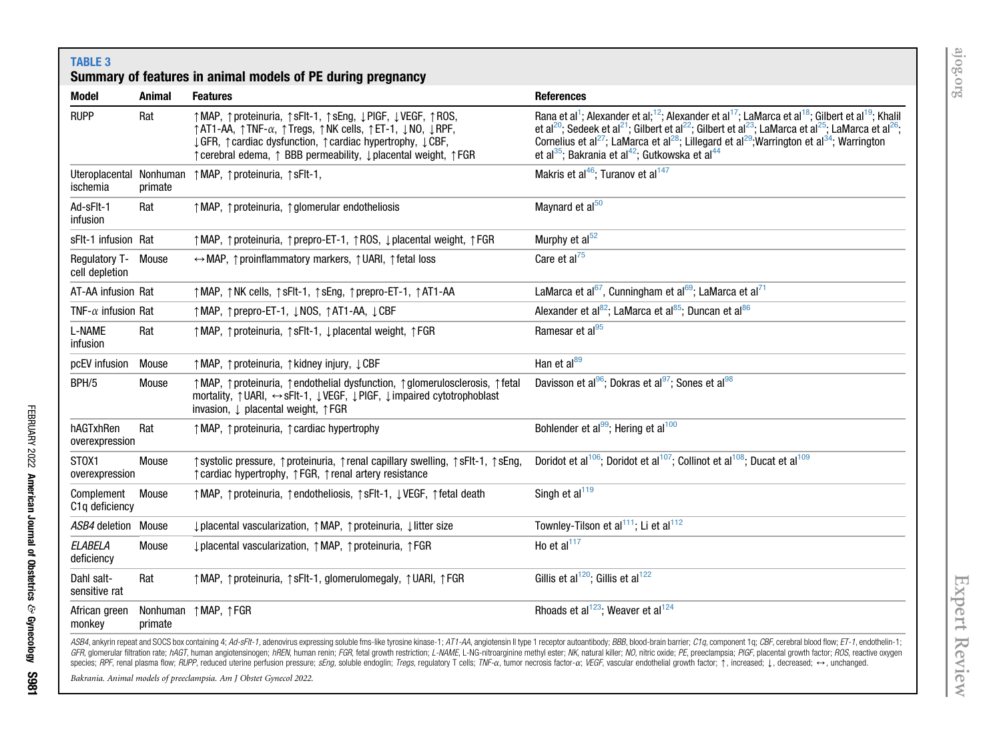# Summary of features in animal models of PE during pregnancy

<span id="page-8-0"></span>

| <b>Model</b>                          | Animal  | <b>Features</b>                                                                                                                                                                                                                                                                                                                                                               | <b>References</b>                                                                                                                                                                                                                                                                                                                                                                                                                                                                                                                                                              |
|---------------------------------------|---------|-------------------------------------------------------------------------------------------------------------------------------------------------------------------------------------------------------------------------------------------------------------------------------------------------------------------------------------------------------------------------------|--------------------------------------------------------------------------------------------------------------------------------------------------------------------------------------------------------------------------------------------------------------------------------------------------------------------------------------------------------------------------------------------------------------------------------------------------------------------------------------------------------------------------------------------------------------------------------|
| <b>RUPP</b>                           | Rat     | ↑MAP, ↑proteinuria, ↑sFlt-1, ↑sEng, ↓PIGF, ↓VEGF, ↑ROS,<br>$\uparrow$ AT1-AA, $\uparrow$ TNF- $\alpha$ , $\uparrow$ Tregs, $\uparrow$ NK cells, $\uparrow$ ET-1, $\downarrow$ NO, $\downarrow$ RPF,<br>$\downarrow$ GFR, $\uparrow$ cardiac dysfunction, $\uparrow$ cardiac hypertrophy, $\downarrow$ CBF,<br>↑ cerebral edema, ↑ BBB permeability, J placental weight, ↑ FGR | Rana et al <sup>1</sup> ; Alexander et al; <sup>12</sup> ; Alexander et al <sup>17</sup> ; LaMarca et al <sup>18</sup> ; Gilbert et al <sup>19</sup> ; Khalil<br>et al <sup>20</sup> ; Sedeek et al <sup>21</sup> ; Gilbert et al <sup>22</sup> ; Gilbert et al <sup>23</sup> ; LaMarca et al <sup>25</sup> ; LaMarca et al <sup>26</sup> ;<br>Cornelius et al <sup>27</sup> ; LaMarca et al <sup>28</sup> ; Lillegard et al <sup>29</sup> ; Warrington et al <sup>34</sup> ; Warrington<br>et al <sup>35</sup> ; Bakrania et al <sup>42</sup> ; Gutkowska et al <sup>44</sup> |
| ischemia                              | primate | Uteroplacental Nonhuman ↑ MAP, ↑ proteinuria, ↑ sFlt-1,                                                                                                                                                                                                                                                                                                                       | Makris et al <sup>46</sup> ; Turanov et al <sup>147</sup>                                                                                                                                                                                                                                                                                                                                                                                                                                                                                                                      |
| Ad-sFlt-1<br>infusion                 | Rat     | ↑ MAP, ↑ proteinuria, ↑ glomerular endotheliosis                                                                                                                                                                                                                                                                                                                              | Maynard et al <sup>50</sup>                                                                                                                                                                                                                                                                                                                                                                                                                                                                                                                                                    |
| sFlt-1 infusion Rat                   |         | ↑MAP, ↑proteinuria, ↑prepro-ET-1, ↑ROS, ↓placental weight, ↑FGR                                                                                                                                                                                                                                                                                                               | Murphy et al <sup>52</sup>                                                                                                                                                                                                                                                                                                                                                                                                                                                                                                                                                     |
| Regulatory T- Mouse<br>cell depletion |         | $\leftrightarrow$ MAP, $\uparrow$ proinflammatory markers, $\uparrow$ UARI, $\uparrow$ fetal loss                                                                                                                                                                                                                                                                             | Care et al $^{75}$                                                                                                                                                                                                                                                                                                                                                                                                                                                                                                                                                             |
| AT-AA infusion Rat                    |         | ↑ MAP, ↑ NK cells, ↑ sFlt-1, ↑ sEng, ↑ prepro-ET-1, ↑ AT1-AA                                                                                                                                                                                                                                                                                                                  | LaMarca et al <sup>67</sup> , Cunningham et al <sup>69</sup> ; LaMarca et al <sup>71</sup>                                                                                                                                                                                                                                                                                                                                                                                                                                                                                     |
| TNF- $\alpha$ infusion Rat            |         | ↑ MAP, ↑ prepro-ET-1, ↓ NOS, ↑ AT1-AA, ↓ CBF                                                                                                                                                                                                                                                                                                                                  | Alexander et al <sup>82</sup> ; LaMarca et al <sup>85</sup> ; Duncan et al <sup>86</sup>                                                                                                                                                                                                                                                                                                                                                                                                                                                                                       |
| <b>L-NAME</b><br>infusion             | Rat     | ↑ MAP, ↑ proteinuria, ↑ sFIt-1, ↓ placental weight, ↑ FGR                                                                                                                                                                                                                                                                                                                     | Ramesar et al <sup>95</sup>                                                                                                                                                                                                                                                                                                                                                                                                                                                                                                                                                    |
| pcEV infusion                         | Mouse   | ↑ MAP, ↑ proteinuria, ↑ kidney injury, ↓ CBF                                                                                                                                                                                                                                                                                                                                  | Han et al <sup>89</sup>                                                                                                                                                                                                                                                                                                                                                                                                                                                                                                                                                        |
| BPH/5                                 | Mouse   | ↑MAP, ↑proteinuria, ↑endothelial dysfunction, ↑qlomerulosclerosis, ↑fetal<br>mortality, ↑UARI, ↔ sFIt-1, ↓VEGF, ↓PIGF, ↓impaired cytotrophoblast<br>invasion, $\downarrow$ placental weight, $\uparrow$ FGR                                                                                                                                                                   | Davisson et al <sup>96</sup> ; Dokras et al <sup>97</sup> ; Sones et al <sup>98</sup>                                                                                                                                                                                                                                                                                                                                                                                                                                                                                          |
| hAGTxhRen<br>overexpression           | Rat     | ↑ MAP, ↑ proteinuria, ↑ cardiac hypertrophy                                                                                                                                                                                                                                                                                                                                   | Bohlender et al <sup>99</sup> ; Hering et al <sup>100</sup>                                                                                                                                                                                                                                                                                                                                                                                                                                                                                                                    |
| STOX1<br>overexpression               | Mouse   | ↑ systolic pressure, ↑ proteinuria, ↑ renal capillary swelling, ↑ sFlt-1, ↑ sEng,<br>↑ cardiac hypertrophy, ↑ FGR, ↑ renal artery resistance                                                                                                                                                                                                                                  | Doridot et al <sup>106</sup> ; Doridot et al <sup>107</sup> ; Collinot et al <sup>108</sup> ; Ducat et al <sup>109</sup>                                                                                                                                                                                                                                                                                                                                                                                                                                                       |
| Complement<br>C1q deficiency          | Mouse   | ↑ MAP, ↑ proteinuria, ↑ endotheliosis, ↑ sFlt-1, JVEGF, ↑ fetal death                                                                                                                                                                                                                                                                                                         | Singh et al <sup>119</sup>                                                                                                                                                                                                                                                                                                                                                                                                                                                                                                                                                     |
| ASB4 deletion Mouse                   |         | $\downarrow$ placental vascularization, $\uparrow$ MAP, $\uparrow$ proteinuria, $\downarrow$ litter size                                                                                                                                                                                                                                                                      | Townley-Tilson et al <sup>111</sup> ; Li et al <sup>112</sup>                                                                                                                                                                                                                                                                                                                                                                                                                                                                                                                  |
| <b>ELABELA</b><br>deficiency          | Mouse   | ↓ placental vascularization, ↑ MAP, ↑ proteinuria, ↑ FGR                                                                                                                                                                                                                                                                                                                      | Ho et al $117$                                                                                                                                                                                                                                                                                                                                                                                                                                                                                                                                                                 |
| Dahl salt-<br>sensitive rat           | Rat     | ↑MAP, ↑proteinuria, ↑sFlt-1, glomerulomegaly, ↑UARI, ↑FGR                                                                                                                                                                                                                                                                                                                     | Gillis et al <sup>120</sup> ; Gillis et al <sup>122</sup>                                                                                                                                                                                                                                                                                                                                                                                                                                                                                                                      |
| African green<br>monkey               | primate | Nonhuman 1 MAP, 1 FGR                                                                                                                                                                                                                                                                                                                                                         | Rhoads et al <sup>123</sup> ; Weaver et al <sup>124</sup>                                                                                                                                                                                                                                                                                                                                                                                                                                                                                                                      |
|                                       |         |                                                                                                                                                                                                                                                                                                                                                                               |                                                                                                                                                                                                                                                                                                                                                                                                                                                                                                                                                                                |

ASB4, ankyrin repeat and SOCS box containing 4; Ad-sFlt-1, adenovirus expressing soluble fms-like tyrosine kinase-1; AT1-AA, angiotensin II type 1 receptor autoantibody; BBB, blood-brain barrier; C1q, component 1q; CBF, c

Bakrania. Animal models of preeclampsia. Am J Obstet Gynecol 2022.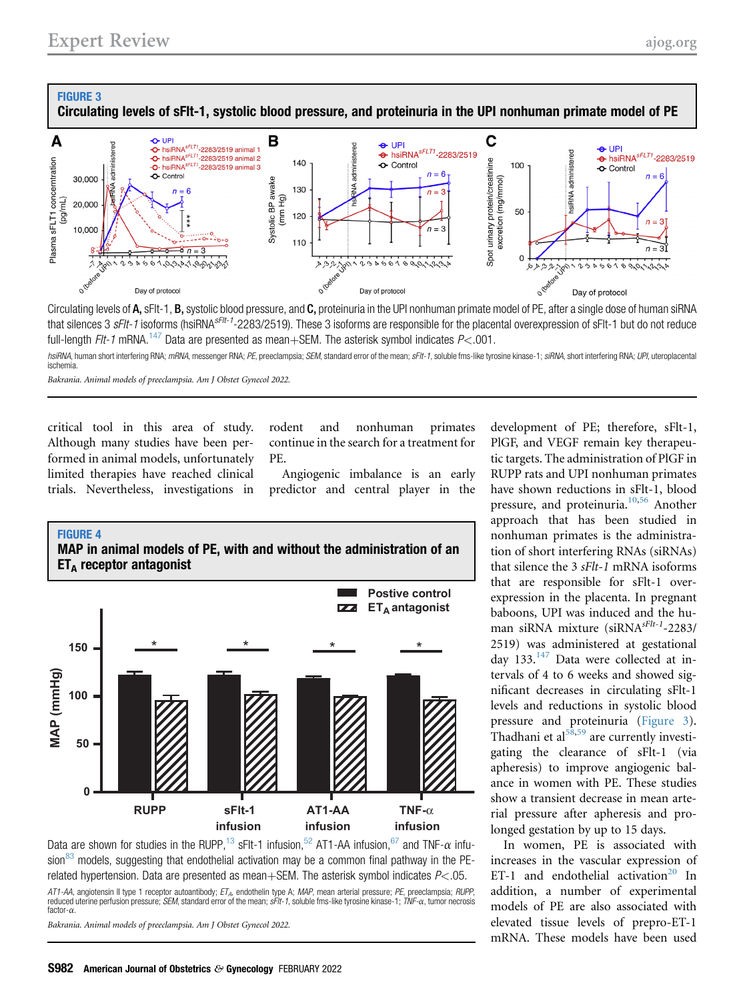<span id="page-9-0"></span>FIGURE 3



Circulating levels of A, sFlt-1, B, systolic blood pressure, and C, proteinuria in the UPI nonhuman primate model of PE, after a single dose of human siRNA that silences 3 sFlt-1 isoforms (hsiRNA<sup>sFlt-1</sup>-2283/2519). These 3 isoforms are responsible for the placental overexpression of sFlt-1 but do not reduce full-length  $F$ lt-1 mRNA.<sup>[147](#page-14-2)</sup> Data are presented as mean+SEM. The asterisk symbol indicates  $P$ <.001.

hsiRNA, human short interfering RNA; mRNA, messenger RNA; PE, preeclampsia; SEM, standard error of the mean; sFlt-1, soluble fms-like tyrosine kinase-1; siRNA, short interfering RNA; UPI, uteroplacental ischemia.

Bakrania. Animal models of preeclampsia. Am J Obstet Gynecol 2022.

critical tool in this area of study. Although many studies have been performed in animal models, unfortunately limited therapies have reached clinical trials. Nevertheless, investigations in rodent and nonhuman primates continue in the search for a treatment for PE.

Angiogenic imbalance is an early predictor and central player in the

<span id="page-9-1"></span>



Data are shown for studies in the RUPP,<sup>[13](#page-11-43)</sup> sFlt-1 infusion,<sup>[52](#page-12-9)</sup> AT1-AA infusion,<sup>[67](#page-12-24)</sup> and TNF- $\alpha$  infusion $^{83}$  $^{83}$  $^{83}$  models, suggesting that endothelial activation may be a common final pathway in the PErelated hypertension. Data are presented as mean + SEM. The asterisk symbol indicates  $P \lt 0.05$ . AT1-AA, angiotensin II type 1 receptor autoantibody; ET<sub>A</sub>, endothelin type A; MAP, mean arterial pressure; PE, preeclampsia; RUPP, reduced uterine perfusion pressure; SEM, standard error of the mean; sFIF-1, soluble fms-l factor- $\alpha$ .

Bakrania. Animal models of preeclampsia. Am J Obstet Gynecol 2022.

PlGF, and VEGF remain key therapeutic targets. The administration of PlGF in RUPP rats and UPI nonhuman primates have shown reductions in sFlt-1, blood pressure, and proteinuria.<sup>[10,](#page-11-4)[56](#page-12-13)</sup> Another approach that has been studied in nonhuman primates is the administration of short interfering RNAs (siRNAs) that silence the 3 sFlt-1 mRNA isoforms that are responsible for sFlt-1 overexpression in the placenta. In pregnant baboons, UPI was induced and the human siRNA mixture (siRNA<sup>sFlt-1</sup>-2283/ 2519) was administered at gestational day  $133.^{147}$  $133.^{147}$  $133.^{147}$  Data were collected at intervals of 4 to 6 weeks and showed significant decreases in circulating sFlt-1 levels and reductions in systolic blood pressure and proteinuria [\(Figure 3\)](#page-9-0). Thadhani et al $^{58,59}$  $^{58,59}$  $^{58,59}$  $^{58,59}$  are currently investigating the clearance of sFlt-1 (via apheresis) to improve angiogenic balance in women with PE. These studies show a transient decrease in mean arterial pressure after apheresis and prolonged gestation by up to 15 days.

development of PE; therefore, sFlt-1,

In women, PE is associated with increases in the vascular expression of ET-1 and endothelial activation<sup>[20](#page-11-26)</sup> In addition, a number of experimental models of PE are also associated with elevated tissue levels of prepro-ET-1 mRNA. These models have been used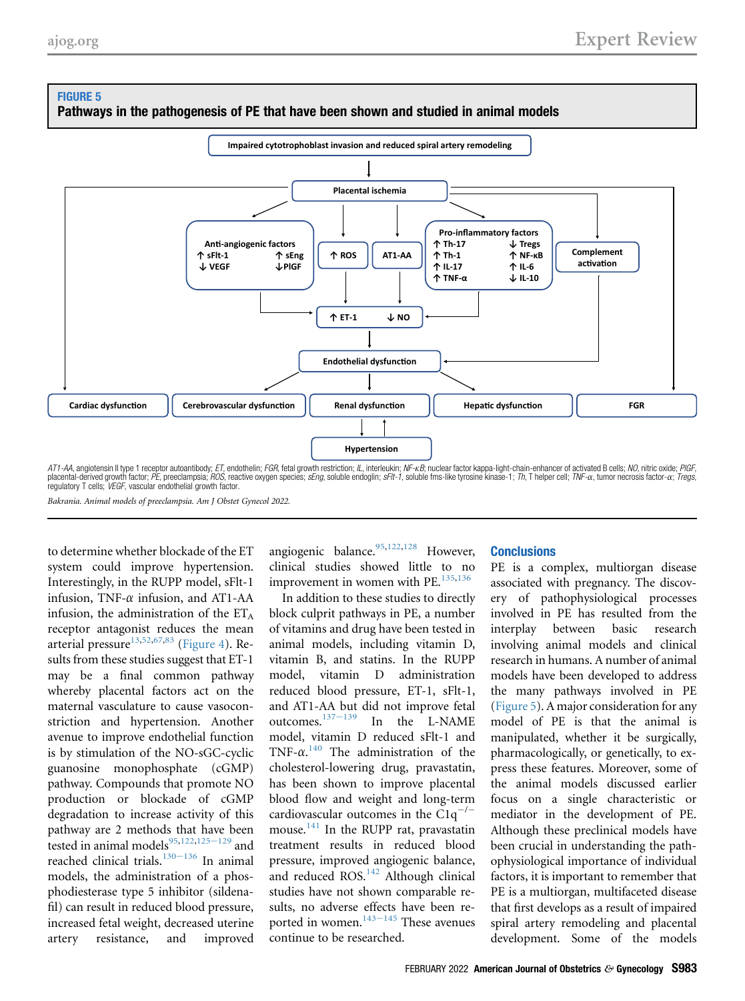#### <span id="page-10-0"></span>FIGURE 5 Pathways in the pathogenesis of PE that have been shown and studied in animal models



AT1-AA, angiotensin II type 1 receptor autoantibody; *ET*, endothelin; *FGR*, fetal growth restriction; *IL*, interleukin; *NF-κB*; nuclear factor kappa-light-chain-enhancer of activated B cells; *NO*, nitric oxide; PIGF,

Bakrania. Animal models of preeclampsia. Am J Obstet Gynecol 2022.

to determine whether blockade of the ET system could improve hypertension. Interestingly, in the RUPP model, sFlt-1 infusion, TNF- $\alpha$  infusion, and AT1-AA infusion, the administration of the  $ET_A$ receptor antagonist reduces the mean arterial pressure<sup>[13,](#page-11-43)[52,](#page-12-9)[67,](#page-12-24)[83](#page-12-40)</sup> [\(Figure 4\)](#page-9-1). Results from these studies suggest that ET-1 may be a final common pathway whereby placental factors act on the maternal vasculature to cause vasoconstriction and hypertension. Another avenue to improve endothelial function is by stimulation of the NO-sGC-cyclic guanosine monophosphate (cGMP) pathway. Compounds that promote NO production or blockade of cGMP degradation to increase activity of this pathway are 2 methods that have been tested in animal models $95,122,125-129$  $95,122,125-129$  $95,122,125-129$  $95,122,125-129$  and reached clinical trials.<sup>130-[136](#page-14-3)</sup> In animal models, the administration of a phosphodiesterase type 5 inhibitor (sildenafil) can result in reduced blood pressure, increased fetal weight, decreased uterine artery resistance, and improved

angiogenic balance.<sup>95[,122](#page-13-36)[,128](#page-14-4)</sup> However, clinical studies showed little to no improvement in women with PE.<sup>[135,](#page-14-5)[136](#page-14-6)</sup>

In addition to these studies to directly block culprit pathways in PE, a number of vitamins and drug have been tested in animal models, including vitamin D, vitamin B, and statins. In the RUPP model, vitamin D administration reduced blood pressure, ET-1, sFlt-1, and AT1-AA but did not improve fetal<br>outcomes. $137-139$  In the L-NAME In the L-NAME model, vitamin D reduced sFlt-1 and TNF- $\alpha$ .<sup>[140](#page-14-8)</sup> The administration of the cholesterol-lowering drug, pravastatin, has been shown to improve placental blood flow and weight and long-term cardiovascular outcomes in the  $Clq^{-/-}$ mouse.<sup>[141](#page-14-9)</sup> In the RUPP rat, pravastatin treatment results in reduced blood pressure, improved angiogenic balance, and reduced  $ROS<sup>142</sup>$  $ROS<sup>142</sup>$  $ROS<sup>142</sup>$  Although clinical studies have not shown comparable results, no adverse effects have been reported in women. $143-145$  These avenues continue to be researched.

#### **Conclusions**

PE is a complex, multiorgan disease associated with pregnancy. The discovery of pathophysiological processes involved in PE has resulted from the interplay between basic research involving animal models and clinical research in humans. A number of animal models have been developed to address the many pathways involved in PE [\(Figure 5\)](#page-10-0). A major consideration for any model of PE is that the animal is manipulated, whether it be surgically, pharmacologically, or genetically, to express these features. Moreover, some of the animal models discussed earlier focus on a single characteristic or mediator in the development of PE. Although these preclinical models have been crucial in understanding the pathophysiological importance of individual factors, it is important to remember that PE is a multiorgan, multifaceted disease that first develops as a result of impaired spiral artery remodeling and placental development. Some of the models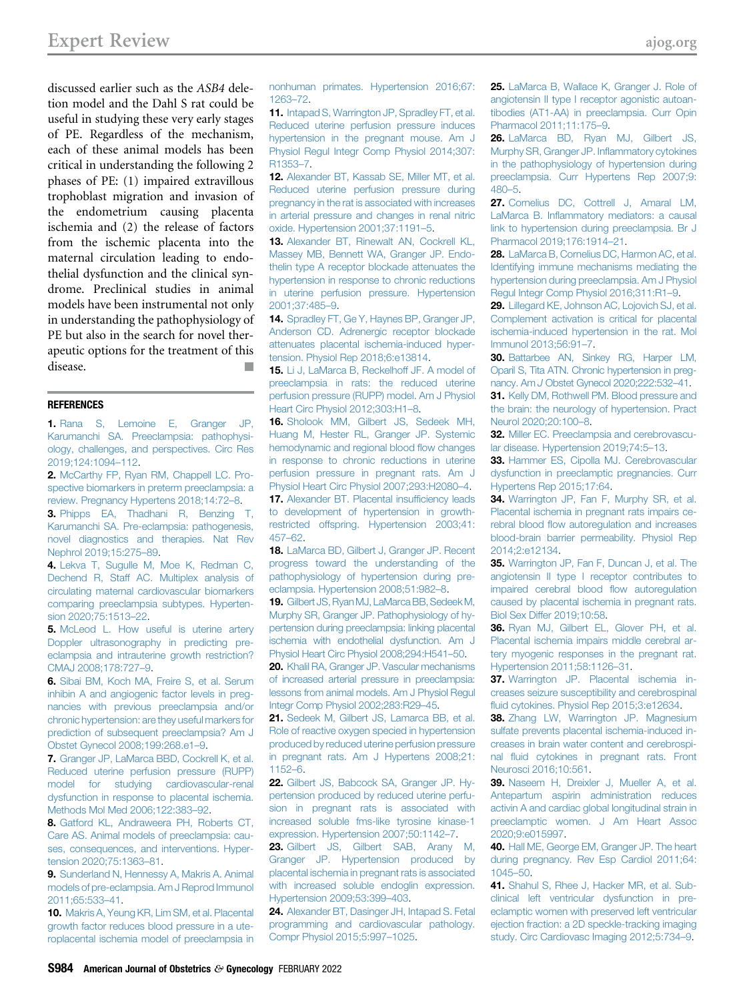discussed earlier such as the ASB4 deletion model and the Dahl S rat could be useful in studying these very early stages of PE. Regardless of the mechanism, each of these animal models has been critical in understanding the following 2 phases of PE: (1) impaired extravillous trophoblast migration and invasion of the endometrium causing placenta ischemia and (2) the release of factors from the ischemic placenta into the maternal circulation leading to endothelial dysfunction and the clinical syndrome. Preclinical studies in animal models have been instrumental not only in understanding the pathophysiology of PE but also in the search for novel therapeutic options for the treatment of this disease.

#### <span id="page-11-0"></span>REFERENCES

1. [Rana S, Lemoine E, Granger JP,](http://refhub.elsevier.com/S0002-9378(20)31199-6/sref1) [Karumanchi SA. Preeclampsia: pathophysi](http://refhub.elsevier.com/S0002-9378(20)31199-6/sref1)[ology, challenges, and perspectives. Circ Res](http://refhub.elsevier.com/S0002-9378(20)31199-6/sref1) [2019;124:1094](http://refhub.elsevier.com/S0002-9378(20)31199-6/sref1)–112.

<span id="page-11-1"></span>2. [McCarthy FP, Ryan RM, Chappell LC. Pro](http://refhub.elsevier.com/S0002-9378(20)31199-6/sref2)[spective biomarkers in preterm preeclampsia: a](http://refhub.elsevier.com/S0002-9378(20)31199-6/sref2) [review. Pregnancy Hypertens 2018;14:72](http://refhub.elsevier.com/S0002-9378(20)31199-6/sref2)–8.

3. [Phipps EA, Thadhani R, Benzing T,](http://refhub.elsevier.com/S0002-9378(20)31199-6/sref3) [Karumanchi SA. Pre-eclampsia: pathogenesis,](http://refhub.elsevier.com/S0002-9378(20)31199-6/sref3) [novel diagnostics and therapies. Nat Rev](http://refhub.elsevier.com/S0002-9378(20)31199-6/sref3) [Nephrol 2019;15:275](http://refhub.elsevier.com/S0002-9378(20)31199-6/sref3)–89.

4. [Lekva T, Sugulle M, Moe K, Redman C,](http://refhub.elsevier.com/S0002-9378(20)31199-6/sref4) [Dechend R, Staff AC. Multiplex analysis of](http://refhub.elsevier.com/S0002-9378(20)31199-6/sref4) [circulating maternal cardiovascular biomarkers](http://refhub.elsevier.com/S0002-9378(20)31199-6/sref4) [comparing preeclampsia subtypes. Hyperten](http://refhub.elsevier.com/S0002-9378(20)31199-6/sref4)[sion 2020;75:1513](http://refhub.elsevier.com/S0002-9378(20)31199-6/sref4)–22.

<span id="page-11-2"></span>**5.** [McLeod L. How useful is uterine artery](http://refhub.elsevier.com/S0002-9378(20)31199-6/sref5) [Doppler ultrasonography in predicting pre](http://refhub.elsevier.com/S0002-9378(20)31199-6/sref5)[eclampsia and intrauterine growth restriction?](http://refhub.elsevier.com/S0002-9378(20)31199-6/sref5) [CMAJ 2008;178:727](http://refhub.elsevier.com/S0002-9378(20)31199-6/sref5)–9.

<span id="page-11-3"></span>6. [Sibai BM, Koch MA, Freire S, et al. Serum](http://refhub.elsevier.com/S0002-9378(20)31199-6/sref6) [inhibin A and angiogenic factor levels in preg](http://refhub.elsevier.com/S0002-9378(20)31199-6/sref6)[nancies with previous preeclampsia and/or](http://refhub.elsevier.com/S0002-9378(20)31199-6/sref6) [chronic hypertension: are they useful markers for](http://refhub.elsevier.com/S0002-9378(20)31199-6/sref6) [prediction of subsequent preeclampsia? Am J](http://refhub.elsevier.com/S0002-9378(20)31199-6/sref6) [Obstet Gynecol 2008;199:268.e1](http://refhub.elsevier.com/S0002-9378(20)31199-6/sref6)–9.

<span id="page-11-5"></span>7. [Granger JP, LaMarca BBD, Cockrell K, et al.](http://refhub.elsevier.com/S0002-9378(20)31199-6/sref7) [Reduced uterine perfusion pressure \(RUPP\)](http://refhub.elsevier.com/S0002-9378(20)31199-6/sref7) [model for studying cardiovascular-renal](http://refhub.elsevier.com/S0002-9378(20)31199-6/sref7) [dysfunction in response to placental ischemia.](http://refhub.elsevier.com/S0002-9378(20)31199-6/sref7) [Methods Mol Med 2006;122:383](http://refhub.elsevier.com/S0002-9378(20)31199-6/sref7)–92.

8. [Gatford KL, Andraweera PH, Roberts CT,](http://refhub.elsevier.com/S0002-9378(20)31199-6/sref8) [Care AS. Animal models of preeclampsia: cau](http://refhub.elsevier.com/S0002-9378(20)31199-6/sref8)[ses, consequences, and interventions. Hyper](http://refhub.elsevier.com/S0002-9378(20)31199-6/sref8)[tension 2020;75:1363](http://refhub.elsevier.com/S0002-9378(20)31199-6/sref8)–81.

9. [Sunderland N, Hennessy A, Makris A. Animal](http://refhub.elsevier.com/S0002-9378(20)31199-6/sref9) [models of pre-eclampsia. Am J Reprod Immunol](http://refhub.elsevier.com/S0002-9378(20)31199-6/sref9) [2011;65:533](http://refhub.elsevier.com/S0002-9378(20)31199-6/sref9)–41.

<span id="page-11-4"></span>10. [Makris A, Yeung KR, Lim SM, et al. Placental](http://refhub.elsevier.com/S0002-9378(20)31199-6/sref10) [growth factor reduces blood pressure in a ute](http://refhub.elsevier.com/S0002-9378(20)31199-6/sref10)[roplacental ischemia model of preeclampsia in](http://refhub.elsevier.com/S0002-9378(20)31199-6/sref10) [nonhuman primates. Hypertension 2016;67:](http://refhub.elsevier.com/S0002-9378(20)31199-6/sref10) [1263](http://refhub.elsevier.com/S0002-9378(20)31199-6/sref10)–72.

<span id="page-11-24"></span>11. [Intapad S, Warrington JP, Spradley FT, et al.](http://refhub.elsevier.com/S0002-9378(20)31199-6/sref11) [Reduced uterine perfusion pressure induces](http://refhub.elsevier.com/S0002-9378(20)31199-6/sref11) [hypertension in the pregnant mouse. Am J](http://refhub.elsevier.com/S0002-9378(20)31199-6/sref11) [Physiol Regul Integr Comp Physiol 2014;307:](http://refhub.elsevier.com/S0002-9378(20)31199-6/sref11) [R1353](http://refhub.elsevier.com/S0002-9378(20)31199-6/sref11)–7.

<span id="page-11-6"></span>12. [Alexander BT, Kassab SE, Miller MT, et al.](http://refhub.elsevier.com/S0002-9378(20)31199-6/sref12) [Reduced uterine perfusion pressure during](http://refhub.elsevier.com/S0002-9378(20)31199-6/sref12) [pregnancy in the rat is associated with increases](http://refhub.elsevier.com/S0002-9378(20)31199-6/sref12) [in arterial pressure and changes in renal nitric](http://refhub.elsevier.com/S0002-9378(20)31199-6/sref12) [oxide. Hypertension 2001;37:1191](http://refhub.elsevier.com/S0002-9378(20)31199-6/sref12)–5.

<span id="page-11-43"></span><span id="page-11-35"></span><span id="page-11-34"></span><span id="page-11-33"></span><span id="page-11-32"></span>13. [Alexander BT, Rinewalt AN, Cockrell KL,](http://refhub.elsevier.com/S0002-9378(20)31199-6/sref13) [Massey MB, Bennett WA, Granger JP. Endo](http://refhub.elsevier.com/S0002-9378(20)31199-6/sref13)[thelin type A receptor blockade attenuates the](http://refhub.elsevier.com/S0002-9378(20)31199-6/sref13) [hypertension in response to chronic reductions](http://refhub.elsevier.com/S0002-9378(20)31199-6/sref13) [in uterine perfusion pressure. Hypertension](http://refhub.elsevier.com/S0002-9378(20)31199-6/sref13) [2001;37:485](http://refhub.elsevier.com/S0002-9378(20)31199-6/sref13)–9.

<span id="page-11-7"></span>14. [Spradley FT, Ge Y, Haynes BP, Granger JP,](http://refhub.elsevier.com/S0002-9378(20)31199-6/sref14) [Anderson CD. Adrenergic receptor blockade](http://refhub.elsevier.com/S0002-9378(20)31199-6/sref14) [attenuates placental ischemia-induced hyper](http://refhub.elsevier.com/S0002-9378(20)31199-6/sref14)[tension. Physiol Rep 2018;6:e13814](http://refhub.elsevier.com/S0002-9378(20)31199-6/sref14).

<span id="page-11-8"></span>15. [Li J, LaMarca B, Reckelhoff JF. A model of](http://refhub.elsevier.com/S0002-9378(20)31199-6/sref15) [preeclampsia in rats: the reduced uterine](http://refhub.elsevier.com/S0002-9378(20)31199-6/sref15) [perfusion pressure \(RUPP\) model. Am J Physiol](http://refhub.elsevier.com/S0002-9378(20)31199-6/sref15) [Heart Circ Physiol 2012;303:H1](http://refhub.elsevier.com/S0002-9378(20)31199-6/sref15)–8.

<span id="page-11-9"></span>16. [Sholook MM, Gilbert JS, Sedeek MH,](http://refhub.elsevier.com/S0002-9378(20)31199-6/sref16) [Huang M, Hester RL, Granger JP. Systemic](http://refhub.elsevier.com/S0002-9378(20)31199-6/sref16) [hemodynamic and regional blood](http://refhub.elsevier.com/S0002-9378(20)31199-6/sref16) flow changes [in response to chronic reductions in uterine](http://refhub.elsevier.com/S0002-9378(20)31199-6/sref16) [perfusion pressure in pregnant rats. Am J](http://refhub.elsevier.com/S0002-9378(20)31199-6/sref16) [Physiol Heart Circ Physiol 2007;293:H2080](http://refhub.elsevier.com/S0002-9378(20)31199-6/sref16)–4.

<span id="page-11-10"></span>17. [Alexander BT. Placental insuf](http://refhub.elsevier.com/S0002-9378(20)31199-6/sref17)ficiency leads [to development of hypertension in growth](http://refhub.elsevier.com/S0002-9378(20)31199-6/sref17)[restricted offspring. Hypertension 2003;41:](http://refhub.elsevier.com/S0002-9378(20)31199-6/sref17) [457](http://refhub.elsevier.com/S0002-9378(20)31199-6/sref17)–62.

<span id="page-11-11"></span>18. [LaMarca BD, Gilbert J, Granger JP. Recent](http://refhub.elsevier.com/S0002-9378(20)31199-6/sref18) [progress toward the understanding of the](http://refhub.elsevier.com/S0002-9378(20)31199-6/sref18) [pathophysiology of hypertension during pre](http://refhub.elsevier.com/S0002-9378(20)31199-6/sref18)[eclampsia. Hypertension 2008;51:982](http://refhub.elsevier.com/S0002-9378(20)31199-6/sref18)–8.

19. [Gilbert JS, RyanMJ, LaMarca BB, SedeekM,](http://refhub.elsevier.com/S0002-9378(20)31199-6/sref19) [Murphy SR, Granger JP. Pathophysiology of hy](http://refhub.elsevier.com/S0002-9378(20)31199-6/sref19)[pertension during preeclampsia: linking placental](http://refhub.elsevier.com/S0002-9378(20)31199-6/sref19) [ischemia with endothelial dysfunction. Am J](http://refhub.elsevier.com/S0002-9378(20)31199-6/sref19) [Physiol Heart Circ Physiol 2008;294:H541](http://refhub.elsevier.com/S0002-9378(20)31199-6/sref19)–50.

<span id="page-11-26"></span>20. [Khalil RA, Granger JP. Vascular mechanisms](http://refhub.elsevier.com/S0002-9378(20)31199-6/sref20) [of increased arterial pressure in preeclampsia:](http://refhub.elsevier.com/S0002-9378(20)31199-6/sref20) [lessons from animal models. Am J Physiol Regul](http://refhub.elsevier.com/S0002-9378(20)31199-6/sref20) [Integr Comp Physiol 2002;283:R29](http://refhub.elsevier.com/S0002-9378(20)31199-6/sref20)–45.

21. Sedeek M. Gilbert JS, Lamarca BB, et al. [Role of reactive oxygen specied in hypertension](http://refhub.elsevier.com/S0002-9378(20)31199-6/sref21) [produced by reduced uterine perfusion pressure](http://refhub.elsevier.com/S0002-9378(20)31199-6/sref21) [in pregnant rats. Am J Hypertens 2008;21:](http://refhub.elsevier.com/S0002-9378(20)31199-6/sref21) [1152](http://refhub.elsevier.com/S0002-9378(20)31199-6/sref21)–6.

<span id="page-11-12"></span>22. [Gilbert JS, Babcock SA, Granger JP. Hy](http://refhub.elsevier.com/S0002-9378(20)31199-6/sref22)[pertension produced by reduced uterine perfu](http://refhub.elsevier.com/S0002-9378(20)31199-6/sref22)[sion in pregnant rats is associated with](http://refhub.elsevier.com/S0002-9378(20)31199-6/sref22) [increased soluble fms-like tyrosine kinase-1](http://refhub.elsevier.com/S0002-9378(20)31199-6/sref22) [expression. Hypertension 2007;50:1142](http://refhub.elsevier.com/S0002-9378(20)31199-6/sref22)–7.

<span id="page-11-13"></span>23. [Gilbert JS, Gilbert SAB, Arany M,](http://refhub.elsevier.com/S0002-9378(20)31199-6/sref23) [Granger JP. Hypertension produced by](http://refhub.elsevier.com/S0002-9378(20)31199-6/sref23) [placental ischemia in pregnant rats is associated](http://refhub.elsevier.com/S0002-9378(20)31199-6/sref23) [with increased soluble endoglin expression.](http://refhub.elsevier.com/S0002-9378(20)31199-6/sref23) [Hypertension 2009;53:399](http://refhub.elsevier.com/S0002-9378(20)31199-6/sref23)–403.

<span id="page-11-14"></span>24. [Alexander BT, Dasinger JH, Intapad S. Fetal](http://refhub.elsevier.com/S0002-9378(20)31199-6/sref24) [programming and cardiovascular pathology.](http://refhub.elsevier.com/S0002-9378(20)31199-6/sref24) [Compr Physiol 2015;5:997](http://refhub.elsevier.com/S0002-9378(20)31199-6/sref24)–1025.

<span id="page-11-27"></span><span id="page-11-15"></span>25. [LaMarca B, Wallace K, Granger J. Role of](http://refhub.elsevier.com/S0002-9378(20)31199-6/sref25) [angiotensin II type I receptor agonistic autoan](http://refhub.elsevier.com/S0002-9378(20)31199-6/sref25)[tibodies \(AT1-AA\) in preeclampsia. Curr Opin](http://refhub.elsevier.com/S0002-9378(20)31199-6/sref25) [Pharmacol 2011;11:175](http://refhub.elsevier.com/S0002-9378(20)31199-6/sref25)–9.

26. [LaMarca BD, Ryan MJ, Gilbert JS,](http://refhub.elsevier.com/S0002-9378(20)31199-6/sref26) [Murphy SR, Granger JP. In](http://refhub.elsevier.com/S0002-9378(20)31199-6/sref26)flammatory cytokines [in the pathophysiology of hypertension during](http://refhub.elsevier.com/S0002-9378(20)31199-6/sref26) [preeclampsia. Curr Hypertens Rep 2007;9:](http://refhub.elsevier.com/S0002-9378(20)31199-6/sref26) [480](http://refhub.elsevier.com/S0002-9378(20)31199-6/sref26)–5.

<span id="page-11-25"></span>27. [Cornelius DC, Cottrell J, Amaral LM,](http://refhub.elsevier.com/S0002-9378(20)31199-6/sref27) LaMarca B. Infl[ammatory mediators: a causal](http://refhub.elsevier.com/S0002-9378(20)31199-6/sref27) [link to hypertension during preeclampsia. Br J](http://refhub.elsevier.com/S0002-9378(20)31199-6/sref27) [Pharmacol 2019;176:1914](http://refhub.elsevier.com/S0002-9378(20)31199-6/sref27)–21.

<span id="page-11-31"></span><span id="page-11-30"></span><span id="page-11-29"></span><span id="page-11-28"></span>28. [LaMarca B, Cornelius DC, Harmon AC, et al.](http://refhub.elsevier.com/S0002-9378(20)31199-6/sref28) [Identifying immune mechanisms mediating the](http://refhub.elsevier.com/S0002-9378(20)31199-6/sref28) [hypertension during preeclampsia. Am J Physiol](http://refhub.elsevier.com/S0002-9378(20)31199-6/sref28) [Regul Integr Comp Physiol 2016;311:R1](http://refhub.elsevier.com/S0002-9378(20)31199-6/sref28)–9.

<span id="page-11-16"></span>29. [Lillegard KE, Johnson AC, Lojovich SJ, et al.](http://refhub.elsevier.com/S0002-9378(20)31199-6/sref29) [Complement activation is critical for placental](http://refhub.elsevier.com/S0002-9378(20)31199-6/sref29) [ischemia-induced hypertension in the rat. Mol](http://refhub.elsevier.com/S0002-9378(20)31199-6/sref29) [Immunol 2013;56:91](http://refhub.elsevier.com/S0002-9378(20)31199-6/sref29)–7.

<span id="page-11-17"></span>30. [Battarbee AN, Sinkey RG, Harper LM,](http://refhub.elsevier.com/S0002-9378(20)31199-6/sref30) [Oparil S, Tita ATN. Chronic hypertension in preg](http://refhub.elsevier.com/S0002-9378(20)31199-6/sref30)nancy. Am J [Obstet Gynecol 2020;222:532](http://refhub.elsevier.com/S0002-9378(20)31199-6/sref30)–41.

31. [Kelly DM, Rothwell PM. Blood pressure and](http://refhub.elsevier.com/S0002-9378(20)31199-6/sref31) [the brain: the neurology of hypertension. Pract](http://refhub.elsevier.com/S0002-9378(20)31199-6/sref31) [Neurol 2020;20:100](http://refhub.elsevier.com/S0002-9378(20)31199-6/sref31)–8.

32. [Miller EC. Preeclampsia and cerebrovascu](http://refhub.elsevier.com/S0002-9378(20)31199-6/sref32)[lar disease. Hypertension 2019;74:5](http://refhub.elsevier.com/S0002-9378(20)31199-6/sref32)–13.

33. [Hammer ES, Cipolla MJ. Cerebrovascular](http://refhub.elsevier.com/S0002-9378(20)31199-6/sref33) [dysfunction in preeclamptic pregnancies. Curr](http://refhub.elsevier.com/S0002-9378(20)31199-6/sref33) [Hypertens Rep 2015;17:64.](http://refhub.elsevier.com/S0002-9378(20)31199-6/sref33)

<span id="page-11-42"></span><span id="page-11-41"></span><span id="page-11-40"></span><span id="page-11-39"></span><span id="page-11-38"></span><span id="page-11-37"></span><span id="page-11-36"></span><span id="page-11-18"></span>34. [Warrington JP, Fan F, Murphy SR, et al.](http://refhub.elsevier.com/S0002-9378(20)31199-6/sref34) [Placental ischemia in pregnant rats impairs ce](http://refhub.elsevier.com/S0002-9378(20)31199-6/sref34)rebral blood fl[ow autoregulation and increases](http://refhub.elsevier.com/S0002-9378(20)31199-6/sref34) [blood-brain barrier permeability. Physiol Rep](http://refhub.elsevier.com/S0002-9378(20)31199-6/sref34) [2014;2:e12134.](http://refhub.elsevier.com/S0002-9378(20)31199-6/sref34)

<span id="page-11-19"></span>35. [Warrington JP, Fan F, Duncan J, et al. The](http://refhub.elsevier.com/S0002-9378(20)31199-6/sref35) [angiotensin II type I receptor contributes to](http://refhub.elsevier.com/S0002-9378(20)31199-6/sref35) [impaired cerebral blood](http://refhub.elsevier.com/S0002-9378(20)31199-6/sref35) flow autoregulation [caused by placental ischemia in pregnant rats.](http://refhub.elsevier.com/S0002-9378(20)31199-6/sref35) [Biol Sex Differ 2019;10:58](http://refhub.elsevier.com/S0002-9378(20)31199-6/sref35).

<span id="page-11-20"></span>36. [Ryan MJ, Gilbert EL, Glover PH, et al.](http://refhub.elsevier.com/S0002-9378(20)31199-6/sref36) [Placental ischemia impairs middle cerebral ar](http://refhub.elsevier.com/S0002-9378(20)31199-6/sref36)[tery myogenic responses in the pregnant rat.](http://refhub.elsevier.com/S0002-9378(20)31199-6/sref36) [Hypertension 2011;58:1126](http://refhub.elsevier.com/S0002-9378(20)31199-6/sref36)–31.

<span id="page-11-21"></span>37. [Warrington JP. Placental ischemia in](http://refhub.elsevier.com/S0002-9378(20)31199-6/sref37)[creases seizure susceptibility and cerebrospinal](http://refhub.elsevier.com/S0002-9378(20)31199-6/sref37) fl[uid cytokines. Physiol Rep 2015;3:e12634.](http://refhub.elsevier.com/S0002-9378(20)31199-6/sref37)

<span id="page-11-22"></span>38. [Zhang LW, Warrington JP. Magnesium](http://refhub.elsevier.com/S0002-9378(20)31199-6/sref38) [sulfate prevents placental ischemia-induced in](http://refhub.elsevier.com/S0002-9378(20)31199-6/sref38)[creases in brain water content and cerebrospi](http://refhub.elsevier.com/S0002-9378(20)31199-6/sref38)nal fl[uid cytokines in pregnant rats. Front](http://refhub.elsevier.com/S0002-9378(20)31199-6/sref38) [Neurosci 2016;10:561](http://refhub.elsevier.com/S0002-9378(20)31199-6/sref38).

<span id="page-11-23"></span>39. [Naseem H, Dreixler J, Mueller A, et al.](http://refhub.elsevier.com/S0002-9378(20)31199-6/sref39) [Antepartum aspirin administration reduces](http://refhub.elsevier.com/S0002-9378(20)31199-6/sref39) [activin A and cardiac global longitudinal strain in](http://refhub.elsevier.com/S0002-9378(20)31199-6/sref39) [preeclamptic women. J Am Heart Assoc](http://refhub.elsevier.com/S0002-9378(20)31199-6/sref39) [2020;9:e015997](http://refhub.elsevier.com/S0002-9378(20)31199-6/sref39).

40. [Hall ME, George EM, Granger JP. The heart](http://refhub.elsevier.com/S0002-9378(20)31199-6/sref40) [during pregnancy. Rev Esp Cardiol 2011;64:](http://refhub.elsevier.com/S0002-9378(20)31199-6/sref40) [1045](http://refhub.elsevier.com/S0002-9378(20)31199-6/sref40)–50.

41. [Shahul S, Rhee J, Hacker MR, et al. Sub](http://refhub.elsevier.com/S0002-9378(20)31199-6/sref41)[clinical left ventricular dysfunction in pre](http://refhub.elsevier.com/S0002-9378(20)31199-6/sref41)[eclamptic women with preserved left ventricular](http://refhub.elsevier.com/S0002-9378(20)31199-6/sref41) [ejection fraction: a 2D speckle-tracking imaging](http://refhub.elsevier.com/S0002-9378(20)31199-6/sref41) [study. Circ Cardiovasc Imaging 2012;5:734](http://refhub.elsevier.com/S0002-9378(20)31199-6/sref41)–9.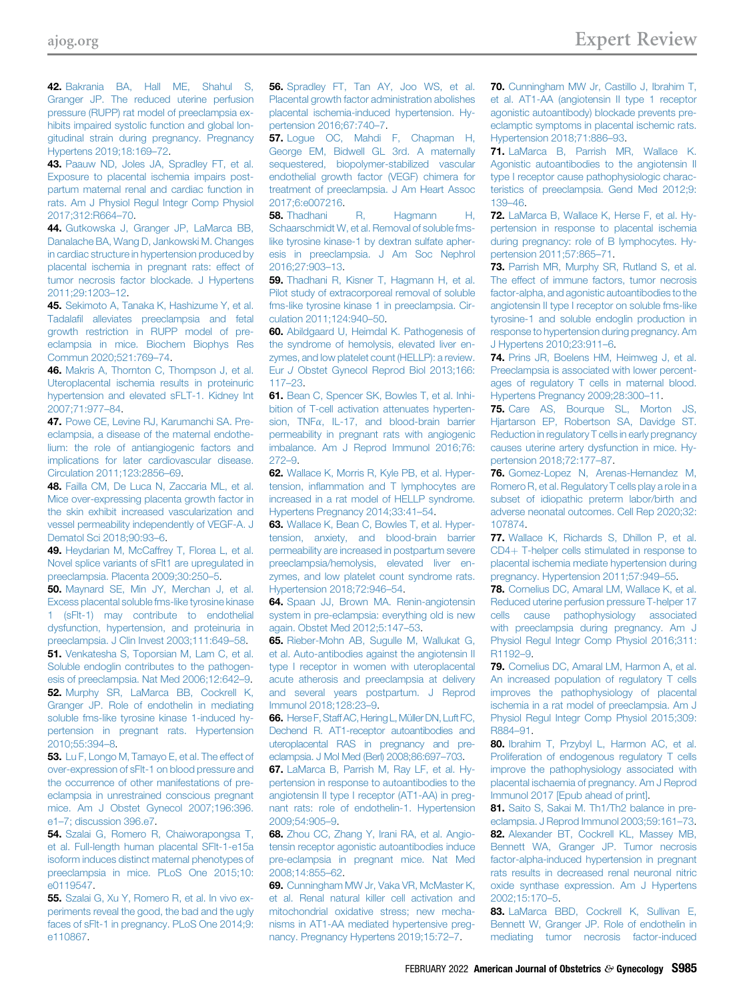<span id="page-12-0"></span>42. [Bakrania BA, Hall ME, Shahul S,](http://refhub.elsevier.com/S0002-9378(20)31199-6/sref42) [Granger JP. The reduced uterine perfusion](http://refhub.elsevier.com/S0002-9378(20)31199-6/sref42) [pressure \(RUPP\) rat model of preeclampsia ex](http://refhub.elsevier.com/S0002-9378(20)31199-6/sref42)[hibits impaired systolic function and global lon](http://refhub.elsevier.com/S0002-9378(20)31199-6/sref42)[gitudinal strain during pregnancy. Pregnancy](http://refhub.elsevier.com/S0002-9378(20)31199-6/sref42) [Hypertens 2019;18:169](http://refhub.elsevier.com/S0002-9378(20)31199-6/sref42)–72.

<span id="page-12-1"></span>43. [Paauw ND, Joles JA, Spradley FT, et al.](http://refhub.elsevier.com/S0002-9378(20)31199-6/sref43) [Exposure to placental ischemia impairs post](http://refhub.elsevier.com/S0002-9378(20)31199-6/sref43)[partum maternal renal and cardiac function in](http://refhub.elsevier.com/S0002-9378(20)31199-6/sref43) [rats. Am J Physiol Regul Integr Comp Physiol](http://refhub.elsevier.com/S0002-9378(20)31199-6/sref43) [2017;312:R664](http://refhub.elsevier.com/S0002-9378(20)31199-6/sref43)–70.

44. [Gutkowska J, Granger JP, LaMarca BB,](http://refhub.elsevier.com/S0002-9378(20)31199-6/sref44) [Danalache BA, Wang D, Jankowski M. Changes](http://refhub.elsevier.com/S0002-9378(20)31199-6/sref44) [in cardiac structure in hypertension produced by](http://refhub.elsevier.com/S0002-9378(20)31199-6/sref44) [placental ischemia in pregnant rats: effect of](http://refhub.elsevier.com/S0002-9378(20)31199-6/sref44) [tumor necrosis factor blockade. J Hypertens](http://refhub.elsevier.com/S0002-9378(20)31199-6/sref44) [2011;29:1203](http://refhub.elsevier.com/S0002-9378(20)31199-6/sref44)–12.

<span id="page-12-48"></span><span id="page-12-2"></span>45. [Sekimoto A, Tanaka K, Hashizume Y, et al.](http://refhub.elsevier.com/S0002-9378(20)31199-6/sref45) Tadalafi[l alleviates preeclampsia and fetal](http://refhub.elsevier.com/S0002-9378(20)31199-6/sref45) [growth restriction in RUPP model of pre](http://refhub.elsevier.com/S0002-9378(20)31199-6/sref45)[eclampsia in mice. Biochem Biophys Res](http://refhub.elsevier.com/S0002-9378(20)31199-6/sref45) [Commun 2020;521:769](http://refhub.elsevier.com/S0002-9378(20)31199-6/sref45)–74.

<span id="page-12-3"></span>46. [Makris A, Thornton C, Thompson J, et al.](http://refhub.elsevier.com/S0002-9378(20)31199-6/sref46) [Uteroplacental ischemia results in proteinuric](http://refhub.elsevier.com/S0002-9378(20)31199-6/sref46) [hypertension and elevated sFLT-1. Kidney Int](http://refhub.elsevier.com/S0002-9378(20)31199-6/sref46) [2007;71:977](http://refhub.elsevier.com/S0002-9378(20)31199-6/sref46)–84.

<span id="page-12-4"></span>47. [Powe CE, Levine RJ, Karumanchi SA. Pre](http://refhub.elsevier.com/S0002-9378(20)31199-6/sref47)[eclampsia, a disease of the maternal endothe](http://refhub.elsevier.com/S0002-9378(20)31199-6/sref47)[lium: the role of antiangiogenic factors and](http://refhub.elsevier.com/S0002-9378(20)31199-6/sref47) [implications for later cardiovascular disease.](http://refhub.elsevier.com/S0002-9378(20)31199-6/sref47) [Circulation 2011;123:2856](http://refhub.elsevier.com/S0002-9378(20)31199-6/sref47)–69.

<span id="page-12-5"></span>48. [Failla CM, De Luca N, Zaccaria ML, et al.](http://refhub.elsevier.com/S0002-9378(20)31199-6/sref48) [Mice over-expressing placenta growth factor in](http://refhub.elsevier.com/S0002-9378(20)31199-6/sref48) [the skin exhibit increased vascularization and](http://refhub.elsevier.com/S0002-9378(20)31199-6/sref48) [vessel permeability independently of VEGF-A. J](http://refhub.elsevier.com/S0002-9378(20)31199-6/sref48) [Dematol Sci 2018;90:93](http://refhub.elsevier.com/S0002-9378(20)31199-6/sref48)–6.

<span id="page-12-6"></span>49. [Heydarian M, McCaffrey T, Florea L, et al.](http://refhub.elsevier.com/S0002-9378(20)31199-6/sref49) [Novel splice variants of sFlt1 are upregulated in](http://refhub.elsevier.com/S0002-9378(20)31199-6/sref49) [preeclampsia. Placenta 2009;30:250](http://refhub.elsevier.com/S0002-9378(20)31199-6/sref49)–5.

<span id="page-12-7"></span>50. [Maynard SE, Min JY, Merchan J, et al.](http://refhub.elsevier.com/S0002-9378(20)31199-6/sref50) [Excess placental soluble fms-like tyrosine kinase](http://refhub.elsevier.com/S0002-9378(20)31199-6/sref50) [1 \(sFlt-1\) may contribute to endothelial](http://refhub.elsevier.com/S0002-9378(20)31199-6/sref50) [dysfunction, hypertension, and proteinuria in](http://refhub.elsevier.com/S0002-9378(20)31199-6/sref50) [preeclampsia. J Clin Invest 2003;111:649](http://refhub.elsevier.com/S0002-9378(20)31199-6/sref50)–58.

<span id="page-12-9"></span><span id="page-12-8"></span>51. [Venkatesha S, Toporsian M, Lam C, et al.](http://refhub.elsevier.com/S0002-9378(20)31199-6/sref51) [Soluble endoglin contributes to the pathogen](http://refhub.elsevier.com/S0002-9378(20)31199-6/sref51)[esis of preeclampsia. Nat Med 2006;12:642](http://refhub.elsevier.com/S0002-9378(20)31199-6/sref51)–9. 52. [Murphy SR, LaMarca BB, Cockrell K,](http://refhub.elsevier.com/S0002-9378(20)31199-6/sref52) [Granger JP. Role of endothelin in mediating](http://refhub.elsevier.com/S0002-9378(20)31199-6/sref52) [soluble fms-like tyrosine kinase 1-induced hy](http://refhub.elsevier.com/S0002-9378(20)31199-6/sref52)[pertension in pregnant rats. Hypertension](http://refhub.elsevier.com/S0002-9378(20)31199-6/sref52) [2010;55:394](http://refhub.elsevier.com/S0002-9378(20)31199-6/sref52)–8.

<span id="page-12-10"></span>53. [Lu F, Longo M, Tamayo E, et al. The effect of](http://refhub.elsevier.com/S0002-9378(20)31199-6/sref53) [over-expression of sFlt-1 on blood pressure and](http://refhub.elsevier.com/S0002-9378(20)31199-6/sref53) [the occurrence of other manifestations of pre](http://refhub.elsevier.com/S0002-9378(20)31199-6/sref53)[eclampsia in unrestrained conscious pregnant](http://refhub.elsevier.com/S0002-9378(20)31199-6/sref53) [mice. Am J Obstet Gynecol 2007;196:396.](http://refhub.elsevier.com/S0002-9378(20)31199-6/sref53) e1–[7; discussion 396.e7.](http://refhub.elsevier.com/S0002-9378(20)31199-6/sref53)

<span id="page-12-11"></span>54. [Szalai G, Romero R, Chaiworapongsa T,](http://refhub.elsevier.com/S0002-9378(20)31199-6/sref54) [et al. Full-length human placental SFlt-1-e15a](http://refhub.elsevier.com/S0002-9378(20)31199-6/sref54) [isoform induces distinct maternal phenotypes of](http://refhub.elsevier.com/S0002-9378(20)31199-6/sref54) [preeclampsia in mice. PLoS One 2015;10:](http://refhub.elsevier.com/S0002-9378(20)31199-6/sref54) [e0119547.](http://refhub.elsevier.com/S0002-9378(20)31199-6/sref54)

<span id="page-12-12"></span>55. Szalai G. Xu Y. Romero R. et al. In vivo ex[periments reveal the good, the bad and the ugly](http://refhub.elsevier.com/S0002-9378(20)31199-6/sref55) [faces of sFlt-1 in pregnancy. PLoS One 2014;9:](http://refhub.elsevier.com/S0002-9378(20)31199-6/sref55) [e110867](http://refhub.elsevier.com/S0002-9378(20)31199-6/sref55).

<span id="page-12-45"></span><span id="page-12-13"></span>56. [Spradley FT, Tan AY, Joo WS, et al.](http://refhub.elsevier.com/S0002-9378(20)31199-6/sref56) [Placental growth factor administration abolishes](http://refhub.elsevier.com/S0002-9378(20)31199-6/sref56) [placental ischemia-induced hypertension. Hy](http://refhub.elsevier.com/S0002-9378(20)31199-6/sref56)[pertension 2016;67:740](http://refhub.elsevier.com/S0002-9378(20)31199-6/sref56)–7.

<span id="page-12-14"></span>57. [Logue OC, Mahdi F, Chapman H,](http://refhub.elsevier.com/S0002-9378(20)31199-6/sref57) [George EM, Bidwell GL 3rd. A maternally](http://refhub.elsevier.com/S0002-9378(20)31199-6/sref57) [sequestered, biopolymer-stabilized vascular](http://refhub.elsevier.com/S0002-9378(20)31199-6/sref57) [endothelial growth factor \(VEGF\) chimera for](http://refhub.elsevier.com/S0002-9378(20)31199-6/sref57) [treatment of preeclampsia. J Am Heart Assoc](http://refhub.elsevier.com/S0002-9378(20)31199-6/sref57) [2017;6:e007216.](http://refhub.elsevier.com/S0002-9378(20)31199-6/sref57)

<span id="page-12-15"></span>58. [Thadhani R, Hagmann H,](http://refhub.elsevier.com/S0002-9378(20)31199-6/sref58) [Schaarschmidt W, et al. Removal of soluble fms](http://refhub.elsevier.com/S0002-9378(20)31199-6/sref58)[like tyrosine kinase-1 by dextran sulfate apher](http://refhub.elsevier.com/S0002-9378(20)31199-6/sref58)[esis in preeclampsia. J Am Soc Nephrol](http://refhub.elsevier.com/S0002-9378(20)31199-6/sref58) [2016;27:903](http://refhub.elsevier.com/S0002-9378(20)31199-6/sref58)–13.

<span id="page-12-47"></span><span id="page-12-16"></span>59. [Thadhani R, Kisner T, Hagmann H, et al.](http://refhub.elsevier.com/S0002-9378(20)31199-6/sref59) [Pilot study of extracorporeal removal of soluble](http://refhub.elsevier.com/S0002-9378(20)31199-6/sref59) [fms-like tyrosine kinase 1 in preeclampsia. Cir](http://refhub.elsevier.com/S0002-9378(20)31199-6/sref59)[culation 2011;124:940](http://refhub.elsevier.com/S0002-9378(20)31199-6/sref59)–50.

<span id="page-12-17"></span>60. [Abildgaard U, Heimdal K. Pathogenesis of](http://refhub.elsevier.com/S0002-9378(20)31199-6/sref60) [the syndrome of hemolysis, elevated liver en](http://refhub.elsevier.com/S0002-9378(20)31199-6/sref60)[zymes, and low platelet count \(HELLP\): a review.](http://refhub.elsevier.com/S0002-9378(20)31199-6/sref60) Eur J [Obstet Gynecol Reprod Biol 2013;166:](http://refhub.elsevier.com/S0002-9378(20)31199-6/sref60) [117](http://refhub.elsevier.com/S0002-9378(20)31199-6/sref60)–23.

<span id="page-12-18"></span>61. [Bean C, Spencer SK, Bowles T, et al. Inhi](http://refhub.elsevier.com/S0002-9378(20)31199-6/sref61)[bition of T-cell activation attenuates hyperten](http://refhub.elsevier.com/S0002-9378(20)31199-6/sref61)sion,  $TNF\alpha$ [, IL-17, and blood-brain barrier](http://refhub.elsevier.com/S0002-9378(20)31199-6/sref61) [permeability in pregnant rats with angiogenic](http://refhub.elsevier.com/S0002-9378(20)31199-6/sref61) [imbalance. Am J Reprod Immunol 2016;76:](http://refhub.elsevier.com/S0002-9378(20)31199-6/sref61) [272](http://refhub.elsevier.com/S0002-9378(20)31199-6/sref61)–9.

<span id="page-12-50"></span><span id="page-12-19"></span>62. [Wallace K, Morris R, Kyle PB, et al. Hyper](http://refhub.elsevier.com/S0002-9378(20)31199-6/sref62)tension, infl[ammation and T lymphocytes are](http://refhub.elsevier.com/S0002-9378(20)31199-6/sref62) [increased in a rat model of HELLP syndrome.](http://refhub.elsevier.com/S0002-9378(20)31199-6/sref62) [Hypertens Pregnancy 2014;33:41](http://refhub.elsevier.com/S0002-9378(20)31199-6/sref62)–54.

<span id="page-12-20"></span>63. [Wallace K, Bean C, Bowles T, et al. Hyper](http://refhub.elsevier.com/S0002-9378(20)31199-6/sref63)[tension, anxiety, and blood-brain barrier](http://refhub.elsevier.com/S0002-9378(20)31199-6/sref63) [permeability are increased in postpartum severe](http://refhub.elsevier.com/S0002-9378(20)31199-6/sref63) [preeclampsia/hemolysis, elevated liver en](http://refhub.elsevier.com/S0002-9378(20)31199-6/sref63)[zymes, and low platelet count syndrome rats.](http://refhub.elsevier.com/S0002-9378(20)31199-6/sref63) [Hypertension 2018;72:946](http://refhub.elsevier.com/S0002-9378(20)31199-6/sref63)–54.

<span id="page-12-21"></span>64. [Spaan JJ, Brown MA. Renin-angiotensin](http://refhub.elsevier.com/S0002-9378(20)31199-6/sref64) [system in pre-eclampsia: everything old is new](http://refhub.elsevier.com/S0002-9378(20)31199-6/sref64) [again. Obstet Med 2012;5:147](http://refhub.elsevier.com/S0002-9378(20)31199-6/sref64)–53.

<span id="page-12-22"></span>65. [Rieber-Mohn AB, Sugulle M, Wallukat G,](http://refhub.elsevier.com/S0002-9378(20)31199-6/sref65) [et al. Auto-antibodies against the angiotensin II](http://refhub.elsevier.com/S0002-9378(20)31199-6/sref65) [type I receptor in women with uteroplacental](http://refhub.elsevier.com/S0002-9378(20)31199-6/sref65) [acute atherosis and preeclampsia at delivery](http://refhub.elsevier.com/S0002-9378(20)31199-6/sref65) [and several years postpartum. J Reprod](http://refhub.elsevier.com/S0002-9378(20)31199-6/sref65) [Immunol 2018;128:23](http://refhub.elsevier.com/S0002-9378(20)31199-6/sref65)–9.

<span id="page-12-23"></span>66. Herse F, Staff AC, Hering L, Müller DN, Luft FC, [Dechend R. AT1-receptor autoantibodies and](http://refhub.elsevier.com/S0002-9378(20)31199-6/sref66) [uteroplacental RAS in pregnancy and pre](http://refhub.elsevier.com/S0002-9378(20)31199-6/sref66)[eclampsia. J Mol Med \(Berl\) 2008;86:697](http://refhub.elsevier.com/S0002-9378(20)31199-6/sref66)–703.

<span id="page-12-24"></span>67. [LaMarca B, Parrish M, Ray LF, et al. Hy](http://refhub.elsevier.com/S0002-9378(20)31199-6/sref67)[pertension in response to autoantibodies to the](http://refhub.elsevier.com/S0002-9378(20)31199-6/sref67) [angiotensin II type I receptor \(AT1-AA\) in preg](http://refhub.elsevier.com/S0002-9378(20)31199-6/sref67)[nant rats: role of endothelin-1. Hypertension](http://refhub.elsevier.com/S0002-9378(20)31199-6/sref67) [2009;54:905](http://refhub.elsevier.com/S0002-9378(20)31199-6/sref67)–9.

<span id="page-12-25"></span>68. [Zhou CC, Zhang Y, Irani RA, et al. Angio](http://refhub.elsevier.com/S0002-9378(20)31199-6/sref68)[tensin receptor agonistic autoantibodies induce](http://refhub.elsevier.com/S0002-9378(20)31199-6/sref68) [pre-eclampsia in pregnant mice. Nat Med](http://refhub.elsevier.com/S0002-9378(20)31199-6/sref68) [2008;14:855](http://refhub.elsevier.com/S0002-9378(20)31199-6/sref68)–62.

<span id="page-12-26"></span>69. [Cunningham MW Jr, Vaka VR, McMaster K,](http://refhub.elsevier.com/S0002-9378(20)31199-6/sref69) [et al. Renal natural killer cell activation and](http://refhub.elsevier.com/S0002-9378(20)31199-6/sref69) [mitochondrial oxidative stress; new mecha](http://refhub.elsevier.com/S0002-9378(20)31199-6/sref69)[nisms in AT1-AA mediated hypertensive preg](http://refhub.elsevier.com/S0002-9378(20)31199-6/sref69)[nancy. Pregnancy Hypertens 2019;15:72](http://refhub.elsevier.com/S0002-9378(20)31199-6/sref69)–7.

<span id="page-12-44"></span><span id="page-12-43"></span><span id="page-12-42"></span><span id="page-12-41"></span><span id="page-12-27"></span>70. [Cunningham MW Jr, Castillo J, Ibrahim T,](http://refhub.elsevier.com/S0002-9378(20)31199-6/sref70) [et al. AT1-AA \(angiotensin II type 1 receptor](http://refhub.elsevier.com/S0002-9378(20)31199-6/sref70) [agonistic autoantibody\) blockade prevents pre](http://refhub.elsevier.com/S0002-9378(20)31199-6/sref70)[eclamptic symptoms in placental ischemic rats.](http://refhub.elsevier.com/S0002-9378(20)31199-6/sref70) [Hypertension 2018;71:886](http://refhub.elsevier.com/S0002-9378(20)31199-6/sref70)–93.

<span id="page-12-28"></span>71. [LaMarca B, Parrish MR, Wallace K.](http://refhub.elsevier.com/S0002-9378(20)31199-6/sref71) [Agonistic autoantibodies to the angiotensin II](http://refhub.elsevier.com/S0002-9378(20)31199-6/sref71) [type I receptor cause pathophysiologic charac](http://refhub.elsevier.com/S0002-9378(20)31199-6/sref71)[teristics of preeclampsia. Gend Med 2012;9:](http://refhub.elsevier.com/S0002-9378(20)31199-6/sref71) [139](http://refhub.elsevier.com/S0002-9378(20)31199-6/sref71)–46.

<span id="page-12-29"></span>72. [LaMarca B, Wallace K, Herse F, et al. Hy](http://refhub.elsevier.com/S0002-9378(20)31199-6/sref72)[pertension in response to placental ischemia](http://refhub.elsevier.com/S0002-9378(20)31199-6/sref72) [during pregnancy: role of B lymphocytes. Hy](http://refhub.elsevier.com/S0002-9378(20)31199-6/sref72)[pertension 2011;57:865](http://refhub.elsevier.com/S0002-9378(20)31199-6/sref72)–71.

<span id="page-12-30"></span>73. [Parrish MR, Murphy SR, Rutland S, et al.](http://refhub.elsevier.com/S0002-9378(20)31199-6/sref73) [The effect of immune factors, tumor necrosis](http://refhub.elsevier.com/S0002-9378(20)31199-6/sref73) [factor-alpha, and agonistic autoantibodies to the](http://refhub.elsevier.com/S0002-9378(20)31199-6/sref73) [angiotensin II type I receptor on soluble fms-like](http://refhub.elsevier.com/S0002-9378(20)31199-6/sref73) [tyrosine-1 and soluble endoglin production in](http://refhub.elsevier.com/S0002-9378(20)31199-6/sref73) [response to hypertension during pregnancy. Am](http://refhub.elsevier.com/S0002-9378(20)31199-6/sref73) [J Hypertens 2010;23:911](http://refhub.elsevier.com/S0002-9378(20)31199-6/sref73)–6.

<span id="page-12-31"></span>74. [Prins JR, Boelens HM, Heimweg J, et al.](http://refhub.elsevier.com/S0002-9378(20)31199-6/sref74) [Preeclampsia is associated with lower percent](http://refhub.elsevier.com/S0002-9378(20)31199-6/sref74)[ages of regulatory T cells in maternal blood.](http://refhub.elsevier.com/S0002-9378(20)31199-6/sref74) [Hypertens Pregnancy 2009;28:300](http://refhub.elsevier.com/S0002-9378(20)31199-6/sref74)–11.

<span id="page-12-32"></span>75. [Care AS, Bourque SL, Morton JS,](http://refhub.elsevier.com/S0002-9378(20)31199-6/sref75) [Hjartarson EP, Robertson SA, Davidge ST.](http://refhub.elsevier.com/S0002-9378(20)31199-6/sref75) [Reduction in regulatory T cells in early pregnancy](http://refhub.elsevier.com/S0002-9378(20)31199-6/sref75) [causes uterine artery dysfunction in mice. Hy](http://refhub.elsevier.com/S0002-9378(20)31199-6/sref75)[pertension 2018;72:177](http://refhub.elsevier.com/S0002-9378(20)31199-6/sref75)–87.

<span id="page-12-49"></span><span id="page-12-46"></span><span id="page-12-33"></span>76. [Gomez-Lopez N, Arenas-Hernandez M,](http://refhub.elsevier.com/S0002-9378(20)31199-6/sref76) [Romero R, et al. Regulatory T cells play a role in a](http://refhub.elsevier.com/S0002-9378(20)31199-6/sref76) [subset of idiopathic preterm labor/birth and](http://refhub.elsevier.com/S0002-9378(20)31199-6/sref76) [adverse neonatal outcomes. Cell Rep 2020;32:](http://refhub.elsevier.com/S0002-9378(20)31199-6/sref76) [107874.](http://refhub.elsevier.com/S0002-9378(20)31199-6/sref76)

<span id="page-12-34"></span>77. [Wallace K, Richards S, Dhillon P, et al.](http://refhub.elsevier.com/S0002-9378(20)31199-6/sref77) [CD4](http://refhub.elsevier.com/S0002-9378(20)31199-6/sref77)+ [T-helper cells stimulated in response to](http://refhub.elsevier.com/S0002-9378(20)31199-6/sref77) [placental ischemia mediate hypertension during](http://refhub.elsevier.com/S0002-9378(20)31199-6/sref77) [pregnancy. Hypertension 2011;57:949](http://refhub.elsevier.com/S0002-9378(20)31199-6/sref77)–55.

<span id="page-12-35"></span>78. [Cornelius DC, Amaral LM, Wallace K, et al.](http://refhub.elsevier.com/S0002-9378(20)31199-6/sref78) [Reduced uterine perfusion pressure T-helper 17](http://refhub.elsevier.com/S0002-9378(20)31199-6/sref78) [cells cause pathophysiology associated](http://refhub.elsevier.com/S0002-9378(20)31199-6/sref78) [with preeclampsia during pregnancy. Am J](http://refhub.elsevier.com/S0002-9378(20)31199-6/sref78) [Physiol Regul Integr Comp Physiol 2016;311:](http://refhub.elsevier.com/S0002-9378(20)31199-6/sref78) [R1192](http://refhub.elsevier.com/S0002-9378(20)31199-6/sref78)–9.

<span id="page-12-36"></span>79. [Cornelius DC, Amaral LM, Harmon A, et al.](http://refhub.elsevier.com/S0002-9378(20)31199-6/sref79) [An increased population of regulatory T cells](http://refhub.elsevier.com/S0002-9378(20)31199-6/sref79) [improves the pathophysiology of placental](http://refhub.elsevier.com/S0002-9378(20)31199-6/sref79) [ischemia in a rat model of preeclampsia. Am J](http://refhub.elsevier.com/S0002-9378(20)31199-6/sref79) [Physiol Regul Integr Comp Physiol 2015;309:](http://refhub.elsevier.com/S0002-9378(20)31199-6/sref79) [R884](http://refhub.elsevier.com/S0002-9378(20)31199-6/sref79)–91.

<span id="page-12-37"></span>80. [Ibrahim T, Przybyl L, Harmon AC, et al.](http://refhub.elsevier.com/S0002-9378(20)31199-6/sref80) [Proliferation of endogenous regulatory T cells](http://refhub.elsevier.com/S0002-9378(20)31199-6/sref80) [improve the pathophysiology associated with](http://refhub.elsevier.com/S0002-9378(20)31199-6/sref80) [placental ischaemia of pregnancy. Am J Reprod](http://refhub.elsevier.com/S0002-9378(20)31199-6/sref80) [Immunol 2017 \[Epub ahead of print\].](http://refhub.elsevier.com/S0002-9378(20)31199-6/sref80)

<span id="page-12-39"></span><span id="page-12-38"></span>81. Saito S. Sakai M. Th1/Th2 balance in pre[eclampsia. J Reprod Immunol 2003;59:161](http://refhub.elsevier.com/S0002-9378(20)31199-6/sref81)–73. 82. [Alexander BT, Cockrell KL, Massey MB,](http://refhub.elsevier.com/S0002-9378(20)31199-6/sref82) [Bennett WA, Granger JP. Tumor necrosis](http://refhub.elsevier.com/S0002-9378(20)31199-6/sref82) [factor-alpha-induced hypertension in pregnant](http://refhub.elsevier.com/S0002-9378(20)31199-6/sref82) [rats results in decreased renal neuronal nitric](http://refhub.elsevier.com/S0002-9378(20)31199-6/sref82) [oxide synthase expression. Am J Hypertens](http://refhub.elsevier.com/S0002-9378(20)31199-6/sref82) [2002;15:170](http://refhub.elsevier.com/S0002-9378(20)31199-6/sref82)–5.

<span id="page-12-40"></span>83. [LaMarca BBD, Cockrell K, Sullivan E,](http://refhub.elsevier.com/S0002-9378(20)31199-6/sref83) [Bennett W, Granger JP. Role of endothelin in](http://refhub.elsevier.com/S0002-9378(20)31199-6/sref83) [mediating tumor necrosis factor-induced](http://refhub.elsevier.com/S0002-9378(20)31199-6/sref83)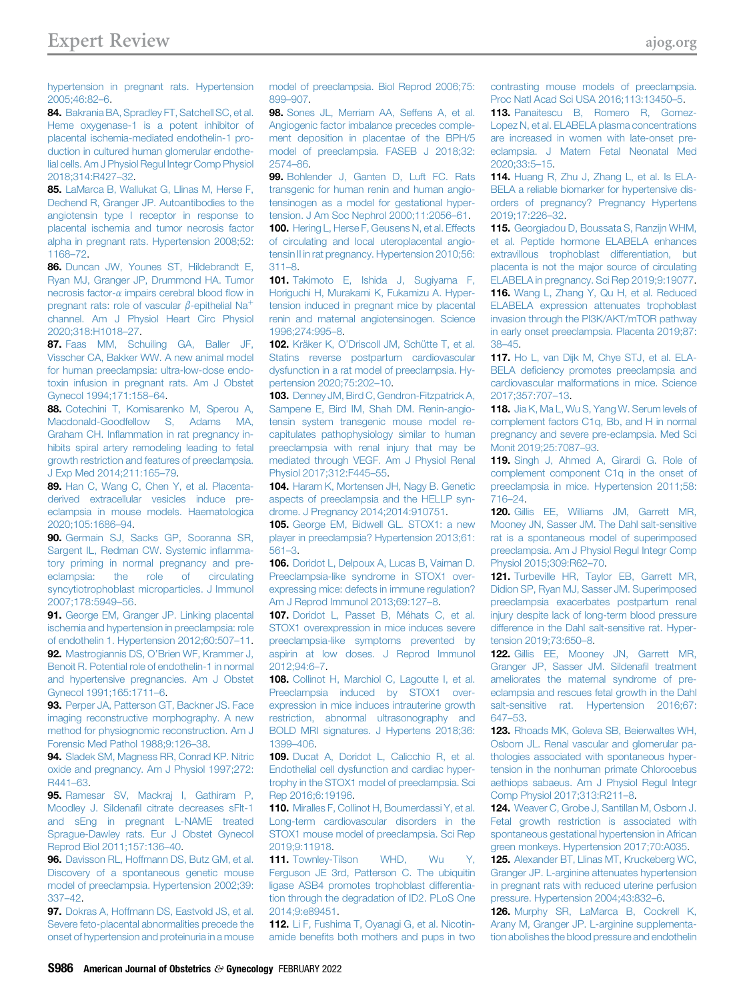<span id="page-13-45"></span><span id="page-13-44"></span>[hypertension in pregnant rats. Hypertension](http://refhub.elsevier.com/S0002-9378(20)31199-6/sref83) [2005;46:82](http://refhub.elsevier.com/S0002-9378(20)31199-6/sref83)–6.

<span id="page-13-0"></span>84. [Bakrania BA, Spradley FT, Satchell SC, et al.](http://refhub.elsevier.com/S0002-9378(20)31199-6/sref84) [Heme oxygenase-1 is a potent inhibitor of](http://refhub.elsevier.com/S0002-9378(20)31199-6/sref84) [placental ischemia-mediated endothelin-1 pro](http://refhub.elsevier.com/S0002-9378(20)31199-6/sref84)[duction in cultured human glomerular endothe](http://refhub.elsevier.com/S0002-9378(20)31199-6/sref84)[lial cells. Am J Physiol Regul Integr Comp Physiol](http://refhub.elsevier.com/S0002-9378(20)31199-6/sref84) [2018;314:R427](http://refhub.elsevier.com/S0002-9378(20)31199-6/sref84)–32.

<span id="page-13-1"></span>85. [LaMarca B, Wallukat G, Llinas M, Herse F,](http://refhub.elsevier.com/S0002-9378(20)31199-6/sref85) [Dechend R, Granger JP. Autoantibodies to the](http://refhub.elsevier.com/S0002-9378(20)31199-6/sref85) [angiotensin type I receptor in response to](http://refhub.elsevier.com/S0002-9378(20)31199-6/sref85) [placental ischemia and tumor necrosis factor](http://refhub.elsevier.com/S0002-9378(20)31199-6/sref85) [alpha in pregnant rats. Hypertension 2008;52:](http://refhub.elsevier.com/S0002-9378(20)31199-6/sref85) [1168](http://refhub.elsevier.com/S0002-9378(20)31199-6/sref85)–72.

<span id="page-13-55"></span><span id="page-13-54"></span><span id="page-13-2"></span>86. [Duncan JW, Younes ST, Hildebrandt E,](http://refhub.elsevier.com/S0002-9378(20)31199-6/sref86) [Ryan MJ, Granger JP, Drummond HA. Tumor](http://refhub.elsevier.com/S0002-9378(20)31199-6/sref86) necrosis factor- $\alpha$  [impairs cerebral blood](http://refhub.elsevier.com/S0002-9378(20)31199-6/sref86) flow in [pregnant](http://refhub.elsevier.com/S0002-9378(20)31199-6/sref86) [rats:](http://refhub.elsevier.com/S0002-9378(20)31199-6/sref86) [role](http://refhub.elsevier.com/S0002-9378(20)31199-6/sref86) [of](http://refhub.elsevier.com/S0002-9378(20)31199-6/sref86) [vascular](http://refhub.elsevier.com/S0002-9378(20)31199-6/sref86)  $\beta$ -epithelial Na<sup>+</sup> [channel. Am J Physiol Heart Circ Physiol](http://refhub.elsevier.com/S0002-9378(20)31199-6/sref86) [2020;318:H1018](http://refhub.elsevier.com/S0002-9378(20)31199-6/sref86)–27.

<span id="page-13-3"></span>87. [Faas MM, Schuiling GA, Baller JF,](http://refhub.elsevier.com/S0002-9378(20)31199-6/sref87) [Visscher CA, Bakker WW. A new animal model](http://refhub.elsevier.com/S0002-9378(20)31199-6/sref87) [for human preeclampsia: ultra-low-dose endo](http://refhub.elsevier.com/S0002-9378(20)31199-6/sref87)[toxin infusion in pregnant rats. Am J Obstet](http://refhub.elsevier.com/S0002-9378(20)31199-6/sref87) [Gynecol 1994;171:158](http://refhub.elsevier.com/S0002-9378(20)31199-6/sref87)–64.

<span id="page-13-4"></span>88. [Cotechini T, Komisarenko M, Sperou A,](http://refhub.elsevier.com/S0002-9378(20)31199-6/sref88) [Macdonald-Goodfellow S, Adams MA,](http://refhub.elsevier.com/S0002-9378(20)31199-6/sref88) Graham CH. Infl[ammation in rat pregnancy in](http://refhub.elsevier.com/S0002-9378(20)31199-6/sref88)[hibits spiral artery remodeling leading to fetal](http://refhub.elsevier.com/S0002-9378(20)31199-6/sref88) [growth restriction and features of preeclampsia.](http://refhub.elsevier.com/S0002-9378(20)31199-6/sref88) [J Exp Med 2014;211:165](http://refhub.elsevier.com/S0002-9378(20)31199-6/sref88)–79.

<span id="page-13-5"></span>89. [Han C, Wang C, Chen Y, et al. Placenta](http://refhub.elsevier.com/S0002-9378(20)31199-6/sref89)[derived extracellular vesicles induce pre](http://refhub.elsevier.com/S0002-9378(20)31199-6/sref89)[eclampsia in mouse models. Haematologica](http://refhub.elsevier.com/S0002-9378(20)31199-6/sref89) [2020;105:1686](http://refhub.elsevier.com/S0002-9378(20)31199-6/sref89)–94.

<span id="page-13-6"></span>90. [Germain SJ, Sacks GP, Sooranna SR,](http://refhub.elsevier.com/S0002-9378(20)31199-6/sref90) [Sargent IL, Redman CW. Systemic in](http://refhub.elsevier.com/S0002-9378(20)31199-6/sref90)flamma[tory priming in normal pregnancy and pre](http://refhub.elsevier.com/S0002-9378(20)31199-6/sref90)[eclampsia: the role of circulating](http://refhub.elsevier.com/S0002-9378(20)31199-6/sref90) [syncytiotrophoblast microparticles. J Immunol](http://refhub.elsevier.com/S0002-9378(20)31199-6/sref90) [2007;178:5949](http://refhub.elsevier.com/S0002-9378(20)31199-6/sref90)–56.

<span id="page-13-8"></span><span id="page-13-7"></span>91. [George EM, Granger JP. Linking placental](http://refhub.elsevier.com/S0002-9378(20)31199-6/sref91) [ischemia and hypertension in preeclampsia: role](http://refhub.elsevier.com/S0002-9378(20)31199-6/sref91) [of endothelin 1. Hypertension 2012;60:507](http://refhub.elsevier.com/S0002-9378(20)31199-6/sref91)–11. 92. Mastrogiannis DS, O'[Brien WF, Krammer J,](http://refhub.elsevier.com/S0002-9378(20)31199-6/sref92) [Benoit R. Potential role of endothelin-1 in normal](http://refhub.elsevier.com/S0002-9378(20)31199-6/sref92) [and hypertensive pregnancies. Am J Obstet](http://refhub.elsevier.com/S0002-9378(20)31199-6/sref92)

<span id="page-13-9"></span>[Gynecol 1991;165:1711](http://refhub.elsevier.com/S0002-9378(20)31199-6/sref92)–6. 93. [Perper JA, Patterson GT, Backner JS. Face](http://refhub.elsevier.com/S0002-9378(20)31199-6/sref93) [imaging reconstructive morphography. A new](http://refhub.elsevier.com/S0002-9378(20)31199-6/sref93) [method for physiognomic reconstruction. Am J](http://refhub.elsevier.com/S0002-9378(20)31199-6/sref93) [Forensic Med Pathol 1988;9:126](http://refhub.elsevier.com/S0002-9378(20)31199-6/sref93)–38.

<span id="page-13-10"></span>94. [Sladek SM, Magness RR, Conrad KP. Nitric](http://refhub.elsevier.com/S0002-9378(20)31199-6/sref94) [oxide and pregnancy. Am J Physiol 1997;272:](http://refhub.elsevier.com/S0002-9378(20)31199-6/sref94) [R441](http://refhub.elsevier.com/S0002-9378(20)31199-6/sref94)–63.

<span id="page-13-11"></span>95. [Ramesar SV, Mackraj I, Gathiram P,](http://refhub.elsevier.com/S0002-9378(20)31199-6/sref95) Moodley J. Sildenafi[l citrate decreases sFlt-1](http://refhub.elsevier.com/S0002-9378(20)31199-6/sref95) [and sEng in pregnant L-NAME treated](http://refhub.elsevier.com/S0002-9378(20)31199-6/sref95) [Sprague-Dawley rats. Eur J Obstet Gynecol](http://refhub.elsevier.com/S0002-9378(20)31199-6/sref95) [Reprod Biol 2011;157:136](http://refhub.elsevier.com/S0002-9378(20)31199-6/sref95)–40.

<span id="page-13-12"></span>96. [Davisson RL, Hoffmann DS, Butz GM, et al.](http://refhub.elsevier.com/S0002-9378(20)31199-6/sref96) [Discovery of a spontaneous genetic mouse](http://refhub.elsevier.com/S0002-9378(20)31199-6/sref96) [model of preeclampsia. Hypertension 2002;39:](http://refhub.elsevier.com/S0002-9378(20)31199-6/sref96) [337](http://refhub.elsevier.com/S0002-9378(20)31199-6/sref96)–42.

<span id="page-13-13"></span>97. [Dokras A, Hoffmann DS, Eastvold JS, et al.](http://refhub.elsevier.com/S0002-9378(20)31199-6/sref97) [Severe feto-placental abnormalities precede the](http://refhub.elsevier.com/S0002-9378(20)31199-6/sref97) [onset of hypertension and proteinuria in a mouse](http://refhub.elsevier.com/S0002-9378(20)31199-6/sref97) <span id="page-13-42"></span>[model of preeclampsia. Biol Reprod 2006;75:](http://refhub.elsevier.com/S0002-9378(20)31199-6/sref97) 899–[907.](http://refhub.elsevier.com/S0002-9378(20)31199-6/sref97)

<span id="page-13-14"></span>98. [Sones JL, Merriam AA, Seffens A, et al.](http://refhub.elsevier.com/S0002-9378(20)31199-6/sref98) [Angiogenic factor imbalance precedes comple](http://refhub.elsevier.com/S0002-9378(20)31199-6/sref98)[ment deposition in placentae of the BPH/5](http://refhub.elsevier.com/S0002-9378(20)31199-6/sref98) [model of preeclampsia. FASEB J 2018;32:](http://refhub.elsevier.com/S0002-9378(20)31199-6/sref98) [2574](http://refhub.elsevier.com/S0002-9378(20)31199-6/sref98)–86.

<span id="page-13-15"></span>99. [Bohlender J, Ganten D, Luft FC. Rats](http://refhub.elsevier.com/S0002-9378(20)31199-6/sref99) [transgenic for human renin and human angio](http://refhub.elsevier.com/S0002-9378(20)31199-6/sref99)[tensinogen as a model for gestational hyper](http://refhub.elsevier.com/S0002-9378(20)31199-6/sref99)[tension. J Am Soc Nephrol 2000;11:2056](http://refhub.elsevier.com/S0002-9378(20)31199-6/sref99)–61.

100. [Hering L, Herse F, Geusens N, et al. Effects](http://refhub.elsevier.com/S0002-9378(20)31199-6/sref100) [of circulating and local uteroplacental angio](http://refhub.elsevier.com/S0002-9378(20)31199-6/sref100)[tensin II in rat pregnancy. Hypertension 2010;56:](http://refhub.elsevier.com/S0002-9378(20)31199-6/sref100) [311](http://refhub.elsevier.com/S0002-9378(20)31199-6/sref100)–8.

<span id="page-13-52"></span><span id="page-13-51"></span><span id="page-13-39"></span>101. [Takimoto E, Ishida J, Sugiyama F,](http://refhub.elsevier.com/S0002-9378(20)31199-6/sref101) [Horiguchi H, Murakami K, Fukamizu A. Hyper](http://refhub.elsevier.com/S0002-9378(20)31199-6/sref101)[tension induced in pregnant mice by placental](http://refhub.elsevier.com/S0002-9378(20)31199-6/sref101) [renin and maternal angiotensinogen. Science](http://refhub.elsevier.com/S0002-9378(20)31199-6/sref101) [1996;274:995](http://refhub.elsevier.com/S0002-9378(20)31199-6/sref101)–8.

<span id="page-13-16"></span>102. Kräker K, O'[Driscoll JM, Schütte T, et al.](http://refhub.elsevier.com/S0002-9378(20)31199-6/sref102) [Statins reverse postpartum cardiovascular](http://refhub.elsevier.com/S0002-9378(20)31199-6/sref102) [dysfunction in a rat model of preeclampsia. Hy](http://refhub.elsevier.com/S0002-9378(20)31199-6/sref102)[pertension 2020;75:202](http://refhub.elsevier.com/S0002-9378(20)31199-6/sref102)–10.

<span id="page-13-17"></span>103. [Denney JM, Bird C, Gendron-Fitzpatrick A,](http://refhub.elsevier.com/S0002-9378(20)31199-6/sref103) [Sampene E, Bird IM, Shah DM. Renin-angio](http://refhub.elsevier.com/S0002-9378(20)31199-6/sref103)[tensin system transgenic mouse model re](http://refhub.elsevier.com/S0002-9378(20)31199-6/sref103)[capitulates pathophysiology similar to human](http://refhub.elsevier.com/S0002-9378(20)31199-6/sref103) [preeclampsia with renal injury that may be](http://refhub.elsevier.com/S0002-9378(20)31199-6/sref103) [mediated through VEGF. Am J Physiol Renal](http://refhub.elsevier.com/S0002-9378(20)31199-6/sref103) [Physiol 2017;312:F445](http://refhub.elsevier.com/S0002-9378(20)31199-6/sref103)–55.

<span id="page-13-60"></span><span id="page-13-59"></span><span id="page-13-58"></span><span id="page-13-18"></span>104. [Haram K, Mortensen JH, Nagy B. Genetic](http://refhub.elsevier.com/S0002-9378(20)31199-6/sref104) [aspects of preeclampsia and the HELLP syn](http://refhub.elsevier.com/S0002-9378(20)31199-6/sref104)[drome. J Pregnancy 2014;2014:910751.](http://refhub.elsevier.com/S0002-9378(20)31199-6/sref104)

<span id="page-13-19"></span>105. [George EM, Bidwell GL. STOX1: a new](http://refhub.elsevier.com/S0002-9378(20)31199-6/sref105) [player in preeclampsia? Hypertension 2013;61:](http://refhub.elsevier.com/S0002-9378(20)31199-6/sref105) [561](http://refhub.elsevier.com/S0002-9378(20)31199-6/sref105)–3.

<span id="page-13-20"></span>106. [Doridot L, Delpoux A, Lucas B, Vaiman D.](http://refhub.elsevier.com/S0002-9378(20)31199-6/sref106) [Preeclampsia-like syndrome in STOX1 over](http://refhub.elsevier.com/S0002-9378(20)31199-6/sref106)[expressing mice: defects in immune regulation?](http://refhub.elsevier.com/S0002-9378(20)31199-6/sref106) [Am J Reprod Immunol 2013;69:127](http://refhub.elsevier.com/S0002-9378(20)31199-6/sref106)–8.

<span id="page-13-21"></span>107. [Doridot L, Passet B, Méhats C, et al.](http://refhub.elsevier.com/S0002-9378(20)31199-6/sref107) [STOX1 overexpression in mice induces severe](http://refhub.elsevier.com/S0002-9378(20)31199-6/sref107) [preeclampsia-like symptoms prevented by](http://refhub.elsevier.com/S0002-9378(20)31199-6/sref107) [aspirin at low doses. J Reprod Immunol](http://refhub.elsevier.com/S0002-9378(20)31199-6/sref107) [2012;94:6](http://refhub.elsevier.com/S0002-9378(20)31199-6/sref107)–7.

<span id="page-13-22"></span>108. [Collinot H, Marchiol C, Lagoutte I, et al.](http://refhub.elsevier.com/S0002-9378(20)31199-6/sref108) [Preeclampsia induced by STOX1 over](http://refhub.elsevier.com/S0002-9378(20)31199-6/sref108)[expression in mice induces intrauterine growth](http://refhub.elsevier.com/S0002-9378(20)31199-6/sref108) [restriction, abnormal ultrasonography and](http://refhub.elsevier.com/S0002-9378(20)31199-6/sref108) [BOLD MRI signatures. J Hypertens 2018;36:](http://refhub.elsevier.com/S0002-9378(20)31199-6/sref108) [1399](http://refhub.elsevier.com/S0002-9378(20)31199-6/sref108)–406.

<span id="page-13-23"></span>109. [Ducat A, Doridot L, Calicchio R, et al.](http://refhub.elsevier.com/S0002-9378(20)31199-6/sref109) [Endothelial cell dysfunction and cardiac hyper](http://refhub.elsevier.com/S0002-9378(20)31199-6/sref109)[trophy in the STOX1 model of preeclampsia. Sci](http://refhub.elsevier.com/S0002-9378(20)31199-6/sref109) [Rep 2016;6:19196](http://refhub.elsevier.com/S0002-9378(20)31199-6/sref109).

<span id="page-13-24"></span>110. [Miralles F, Collinot H, Boumerdassi Y, et al.](http://refhub.elsevier.com/S0002-9378(20)31199-6/sref110) [Long-term cardiovascular disorders in the](http://refhub.elsevier.com/S0002-9378(20)31199-6/sref110) [STOX1 mouse model of preeclampsia. Sci Rep](http://refhub.elsevier.com/S0002-9378(20)31199-6/sref110) [2019;9:11918](http://refhub.elsevier.com/S0002-9378(20)31199-6/sref110).

<span id="page-13-25"></span>111. [Townley-Tilson WHD, Wu Y,](http://refhub.elsevier.com/S0002-9378(20)31199-6/sref111) [Ferguson JE 3rd, Patterson C. The ubiquitin](http://refhub.elsevier.com/S0002-9378(20)31199-6/sref111) [ligase ASB4 promotes trophoblast differentia](http://refhub.elsevier.com/S0002-9378(20)31199-6/sref111)[tion through the degradation of ID2. PLoS One](http://refhub.elsevier.com/S0002-9378(20)31199-6/sref111) [2014;9:e89451](http://refhub.elsevier.com/S0002-9378(20)31199-6/sref111).

<span id="page-13-26"></span>112. [Li F, Fushima T, Oyanagi G, et al. Nicotin](http://refhub.elsevier.com/S0002-9378(20)31199-6/sref112)amide benefi[ts both mothers and pups in two](http://refhub.elsevier.com/S0002-9378(20)31199-6/sref112) <span id="page-13-43"></span><span id="page-13-41"></span><span id="page-13-40"></span>[contrasting mouse models of preeclampsia.](http://refhub.elsevier.com/S0002-9378(20)31199-6/sref112) [Proc Natl Acad Sci USA 2016;113:13450](http://refhub.elsevier.com/S0002-9378(20)31199-6/sref112)–5.

<span id="page-13-27"></span>113. [Panaitescu B, Romero R, Gomez-](http://refhub.elsevier.com/S0002-9378(20)31199-6/sref113)[Lopez N, et al. ELABELA plasma concentrations](http://refhub.elsevier.com/S0002-9378(20)31199-6/sref113) [are increased in women with late-onset pre](http://refhub.elsevier.com/S0002-9378(20)31199-6/sref113)[eclampsia. J Matern Fetal Neonatal Med](http://refhub.elsevier.com/S0002-9378(20)31199-6/sref113) [2020;33:5](http://refhub.elsevier.com/S0002-9378(20)31199-6/sref113)–15.

<span id="page-13-28"></span>114. [Huang R, Zhu J, Zhang L, et al. Is ELA-](http://refhub.elsevier.com/S0002-9378(20)31199-6/sref114)[BELA a reliable biomarker for hypertensive dis](http://refhub.elsevier.com/S0002-9378(20)31199-6/sref114)[orders of pregnancy? Pregnancy Hypertens](http://refhub.elsevier.com/S0002-9378(20)31199-6/sref114) [2019;17:226](http://refhub.elsevier.com/S0002-9378(20)31199-6/sref114)–32.

<span id="page-13-50"></span><span id="page-13-49"></span><span id="page-13-48"></span><span id="page-13-47"></span><span id="page-13-46"></span><span id="page-13-30"></span><span id="page-13-29"></span>115. [Georgiadou D, Boussata S, Ranzijn WHM,](http://refhub.elsevier.com/S0002-9378(20)31199-6/sref115) [et al. Peptide hormone ELABELA enhances](http://refhub.elsevier.com/S0002-9378(20)31199-6/sref115) [extravillous trophoblast differentiation, but](http://refhub.elsevier.com/S0002-9378(20)31199-6/sref115) [placenta is not the major source of circulating](http://refhub.elsevier.com/S0002-9378(20)31199-6/sref115) [ELABELA in pregnancy. Sci Rep 2019;9:19077.](http://refhub.elsevier.com/S0002-9378(20)31199-6/sref115) 116. [Wang L, Zhang Y, Qu H, et al. Reduced](http://refhub.elsevier.com/S0002-9378(20)31199-6/sref116) [ELABELA expression attenuates trophoblast](http://refhub.elsevier.com/S0002-9378(20)31199-6/sref116) [invasion through the PI3K/AKT/mTOR pathway](http://refhub.elsevier.com/S0002-9378(20)31199-6/sref116) [in early onset preeclampsia. Placenta 2019;87:](http://refhub.elsevier.com/S0002-9378(20)31199-6/sref116) 38–[45](http://refhub.elsevier.com/S0002-9378(20)31199-6/sref116).

<span id="page-13-31"></span>117. [Ho L, van Dijk M, Chye STJ, et al. ELA-](http://refhub.elsevier.com/S0002-9378(20)31199-6/sref117)BELA defi[ciency promotes preeclampsia and](http://refhub.elsevier.com/S0002-9378(20)31199-6/sref117) [cardiovascular malformations in mice. Science](http://refhub.elsevier.com/S0002-9378(20)31199-6/sref117) [2017;357:707](http://refhub.elsevier.com/S0002-9378(20)31199-6/sref117)–13.

<span id="page-13-32"></span>118. [Jia K, Ma L, Wu S, Yang W. Serum levels of](http://refhub.elsevier.com/S0002-9378(20)31199-6/sref118) [complement factors C1q, Bb, and H in normal](http://refhub.elsevier.com/S0002-9378(20)31199-6/sref118) [pregnancy and severe pre-eclampsia. Med Sci](http://refhub.elsevier.com/S0002-9378(20)31199-6/sref118) [Monit 2019;25:7087](http://refhub.elsevier.com/S0002-9378(20)31199-6/sref118)–93.

<span id="page-13-33"></span>119. [Singh J, Ahmed A, Girardi G. Role of](http://refhub.elsevier.com/S0002-9378(20)31199-6/sref119) [complement component C1q in the onset of](http://refhub.elsevier.com/S0002-9378(20)31199-6/sref119) [preeclampsia in mice. Hypertension 2011;58:](http://refhub.elsevier.com/S0002-9378(20)31199-6/sref119) [716](http://refhub.elsevier.com/S0002-9378(20)31199-6/sref119)–24.

<span id="page-13-57"></span><span id="page-13-56"></span><span id="page-13-53"></span><span id="page-13-34"></span>120. [Gillis EE, Williams JM, Garrett MR,](http://refhub.elsevier.com/S0002-9378(20)31199-6/sref120) [Mooney JN, Sasser JM. The Dahl salt-sensitive](http://refhub.elsevier.com/S0002-9378(20)31199-6/sref120) [rat is a spontaneous model of superimposed](http://refhub.elsevier.com/S0002-9378(20)31199-6/sref120) [preeclampsia. Am J Physiol Regul Integr Comp](http://refhub.elsevier.com/S0002-9378(20)31199-6/sref120) [Physiol 2015;309:R62](http://refhub.elsevier.com/S0002-9378(20)31199-6/sref120)–70.

<span id="page-13-35"></span>121. [Turbeville HR, Taylor EB, Garrett MR,](http://refhub.elsevier.com/S0002-9378(20)31199-6/sref121) [Didion SP, Ryan MJ, Sasser JM. Superimposed](http://refhub.elsevier.com/S0002-9378(20)31199-6/sref121) [preeclampsia exacerbates postpartum renal](http://refhub.elsevier.com/S0002-9378(20)31199-6/sref121) [injury despite lack of long-term blood pressure](http://refhub.elsevier.com/S0002-9378(20)31199-6/sref121) [difference in the Dahl salt-sensitive rat. Hyper](http://refhub.elsevier.com/S0002-9378(20)31199-6/sref121)[tension 2019;73:650](http://refhub.elsevier.com/S0002-9378(20)31199-6/sref121)–8.

<span id="page-13-36"></span>122. [Gillis EE, Mooney JN, Garrett MR,](http://refhub.elsevier.com/S0002-9378(20)31199-6/sref122) [Granger JP, Sasser JM. Sildena](http://refhub.elsevier.com/S0002-9378(20)31199-6/sref122)fil treatment [ameliorates the maternal syndrome of pre](http://refhub.elsevier.com/S0002-9378(20)31199-6/sref122)[eclampsia and rescues fetal growth in the Dahl](http://refhub.elsevier.com/S0002-9378(20)31199-6/sref122) [salt-sensitive rat. Hypertension 2016;67:](http://refhub.elsevier.com/S0002-9378(20)31199-6/sref122) [647](http://refhub.elsevier.com/S0002-9378(20)31199-6/sref122)–53.

<span id="page-13-37"></span>123. [Rhoads MK, Goleva SB, Beierwaltes WH,](http://refhub.elsevier.com/S0002-9378(20)31199-6/sref123) [Osborn JL. Renal vascular and glomerular pa](http://refhub.elsevier.com/S0002-9378(20)31199-6/sref123)[thologies associated with spontaneous hyper](http://refhub.elsevier.com/S0002-9378(20)31199-6/sref123)[tension in the nonhuman primate Chlorocebus](http://refhub.elsevier.com/S0002-9378(20)31199-6/sref123) [aethiops sabaeus. Am J Physiol Regul Integr](http://refhub.elsevier.com/S0002-9378(20)31199-6/sref123) [Comp Physiol 2017;313:R211](http://refhub.elsevier.com/S0002-9378(20)31199-6/sref123)–8.

<span id="page-13-38"></span>124. [Weaver C, Grobe J, Santillan M, Osborn J.](http://refhub.elsevier.com/S0002-9378(20)31199-6/sref124) [Fetal growth restriction is associated with](http://refhub.elsevier.com/S0002-9378(20)31199-6/sref124) [spontaneous gestational hypertension in African](http://refhub.elsevier.com/S0002-9378(20)31199-6/sref124) [green monkeys. Hypertension 2017;70:A035](http://refhub.elsevier.com/S0002-9378(20)31199-6/sref124).

<span id="page-13-61"></span>125. [Alexander BT, Llinas MT, Kruckeberg WC,](http://refhub.elsevier.com/S0002-9378(20)31199-6/sref125) [Granger JP. L-arginine attenuates hypertension](http://refhub.elsevier.com/S0002-9378(20)31199-6/sref125) [in pregnant rats with reduced uterine perfusion](http://refhub.elsevier.com/S0002-9378(20)31199-6/sref125) [pressure. Hypertension 2004;43:832](http://refhub.elsevier.com/S0002-9378(20)31199-6/sref125)–6.

126. [Murphy SR, LaMarca B, Cockrell K,](http://refhub.elsevier.com/S0002-9378(20)31199-6/sref126) [Arany M, Granger JP. L-arginine supplementa](http://refhub.elsevier.com/S0002-9378(20)31199-6/sref126)[tion abolishes the blood pressure and endothelin](http://refhub.elsevier.com/S0002-9378(20)31199-6/sref126)